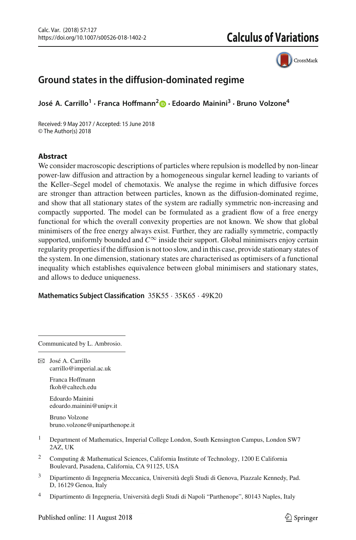

# **Ground states in the diffusion-dominated regime**

**José A. Carrillo1 · Franca Hoffmann[2](http://orcid.org/0000-0002-1182-5521) · Edoardo Mainini3 · Bruno Volzone<sup>4</sup>**

Received: 9 May 2017 / Accepted: 15 June 2018 © The Author(s) 2018

# **Abstract**

We consider macroscopic descriptions of particles where repulsion is modelled by non-linear power-law diffusion and attraction by a homogeneous singular kernel leading to variants of the Keller–Segel model of chemotaxis. We analyse the regime in which diffusive forces are stronger than attraction between particles, known as the diffusion-dominated regime, and show that all stationary states of the system are radially symmetric non-increasing and compactly supported. The model can be formulated as a gradient flow of a free energy functional for which the overall convexity properties are not known. We show that global minimisers of the free energy always exist. Further, they are radially symmetric, compactly supported, uniformly bounded and  $C^{\infty}$  inside their support. Global minimisers enjoy certain regularity properties if the diffusion is not too slow, and in this case, provide stationary states of the system. In one dimension, stationary states are characterised as optimisers of a functional inequality which establishes equivalence between global minimisers and stationary states, and allows to deduce uniqueness.

**Mathematics Subject Classification** 35K55 · 35K65 · 49K20

Communicated by L. Ambrosio.

B José A. Carrillo carrillo@imperial.ac.uk

> Franca Hoffmann fkoh@caltech.edu

Edoardo Mainini edoardo.mainini@unipv.it

Bruno Volzone bruno.volzone@uniparthenope.it

- <sup>1</sup> Department of Mathematics, Imperial College London, South Kensington Campus, London SW7 2AZ, UK
- <sup>2</sup> Computing & Mathematical Sciences, California Institute of Technology, 1200 E California Boulevard, Pasadena, California, CA 91125, USA
- <sup>3</sup> Dipartimento di Ingegneria Meccanica, Università degli Studi di Genova, Piazzale Kennedy, Pad. D, 16129 Genoa, Italy
- <sup>4</sup> Dipartimento di Ingegneria, Università degli Studi di Napoli "Parthenope", 80143 Naples, Italy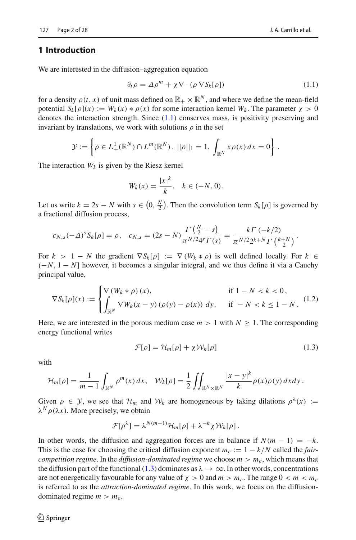## **1 Introduction**

We are interested in the diffusion–aggregation equation

<span id="page-1-0"></span>
$$
\partial_t \rho = \Delta \rho^m + \chi \nabla \cdot (\rho \nabla S_k[\rho]) \tag{1.1}
$$

for a density  $\rho(t, x)$  of unit mass defined on  $\mathbb{R}_+ \times \mathbb{R}^N$ , and where we define the mean-field potential  $S_k[\rho](x) := W_k(x) * \rho(x)$  for some interaction kernel  $W_k$ . The parameter  $\chi > 0$ denotes the interaction strength. Since [\(1.1\)](#page-1-0) conserves mass, is positivity preserving and invariant by translations, we work with solutions  $\rho$  in the set

$$
\mathcal{Y} := \left\{ \rho \in L^1_+(\mathbb{R}^N) \cap L^m(\mathbb{R}^N), \ ||\rho||_1 = 1, \int_{\mathbb{R}^N} x \rho(x) \, dx = 0 \right\}.
$$

The interaction  $W_k$  is given by the Riesz kernel

$$
W_k(x) = \frac{|x|^k}{k}, \quad k \in (-N, 0).
$$

Let us write  $k = 2s - N$  with  $s \in (0, \frac{N}{2})$ . Then the convolution term  $S_k[\rho]$  is governed by a fractional diffusion process,

$$
c_{N,s}(-\Delta)^s S_k[\rho] = \rho, \quad c_{N,s} = (2s - N) \frac{\Gamma(\frac{N}{2} - s)}{\pi^{N/2} 4^s \Gamma(s)} = \frac{k \Gamma(-k/2)}{\pi^{N/2} 2^{k+N} \Gamma(\frac{k+N}{2})}.
$$

For  $k > 1 - N$  the gradient  $\nabla S_k[\rho] := \nabla (W_k * \rho)$  is well defined locally. For  $k \in$ (−*N*, 1 − *N*] however, it becomes a singular integral, and we thus define it via a Cauchy principal value,

<span id="page-1-2"></span>
$$
\nabla S_k[\rho](x) := \begin{cases} \nabla (W_k * \rho)(x), & \text{if } 1 - N < k < 0, \\ \n\int_{\mathbb{R}^N} \nabla W_k(x - y)(\rho(y) - \rho(x)) \, dy, & \text{if } -N < k \le 1 - N. \n\end{cases} \tag{1.2}
$$

Here, we are interested in the porous medium case  $m > 1$  with  $N \geq 1$ . The corresponding energy functional writes

<span id="page-1-1"></span>
$$
\mathcal{F}[\rho] = \mathcal{H}_m[\rho] + \chi \mathcal{W}_k[\rho]
$$
\n(1.3)

with

$$
\mathcal{H}_m[\rho] = \frac{1}{m-1} \int_{\mathbb{R}^N} \rho^m(x) dx, \quad \mathcal{W}_k[\rho] = \frac{1}{2} \iint_{\mathbb{R}^N \times \mathbb{R}^N} \frac{|x-y|^k}{k} \rho(x) \rho(y) dx dy.
$$

Given  $\rho \in \mathcal{Y}$ , we see that  $\mathcal{H}_m$  and  $\mathcal{W}_k$  are homogeneous by taking dilations  $\rho^{\lambda}(x) :=$  $\lambda^N \rho(\lambda x)$ . More precisely, we obtain

$$
\mathcal{F}[\rho^{\lambda}] = \lambda^{N(m-1)} \mathcal{H}_m[\rho] + \lambda^{-k} \chi \mathcal{W}_k[\rho].
$$

In other words, the diffusion and aggregation forces are in balance if  $N(m - 1) = -k$ . This is the case for choosing the critical diffusion exponent  $m_c := 1 - k/N$  called the *faircompetition regime.* In the *diffusion-dominated regime* we choose  $m > m_c$ , which means that the diffusion part of the functional [\(1.3\)](#page-1-1) dominates as  $\lambda \to \infty$ . In other words, concentrations are not energetically favourable for any value of  $\chi > 0$  and  $m > m_c$ . The range  $0 < m < m_c$ is referred to as the *attraction-dominated regime*. In this work, we focus on the diffusiondominated regime  $m > m_c$ .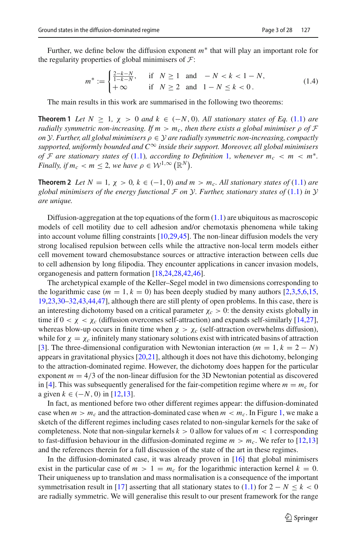Further, we define below the diffusion exponent *m*∗ that will play an important role for the regularity properties of global minimisers of *F*:

<span id="page-2-1"></span>
$$
m^* := \begin{cases} \frac{2-k-N}{1-k-N}, & \text{if } N \ge 1 \text{ and } -N < k < 1 - N, \\ +\infty & \text{if } N \ge 2 \text{ and } 1 - N \le k < 0. \end{cases}
$$
(1.4)

<span id="page-2-0"></span>The main results in this work are summarised in the following two theorems:

**Theorem 1** *Let*  $N \geq 1$ ,  $\chi > 0$  *and*  $k \in (-N, 0)$ *. All stationary states of Eq.* [\(1.1\)](#page-1-0) *are radially symmetric non-increasing. If*  $m > m_c$ , then there exists a global minimiser  $\rho$  of  $\mathcal F$ *on*  $Y$ *. Further, all global minimisers*  $\rho \in Y$  *are radially symmetric non-increasing, compactly supported, uniformly bounded and C*∞ *inside their support. Moreover, all global minimisers of F* are stationary states of [\(1.1\)](#page-1-0), according to Definition [1](#page-4-0), whenever  $m_c < m < m^*$ . *Finally, if*  $m_c < m \leq 2$ , we have  $\rho \in \mathcal{W}^{1,\infty}(\mathbb{R}^N)$ .

<span id="page-2-2"></span>**Theorem 2** *Let*  $N = 1$ ,  $\chi > 0$ ,  $k \in (-1, 0)$  *and*  $m > m_c$ . All stationary states of [\(1.1\)](#page-1-0) are *global minimisers of the energy functional*  $\mathcal F$  *on*  $\mathcal Y$ *. Further, stationary states of* [\(1.1\)](#page-1-0) *in*  $\mathcal Y$ *are unique.*

Diffusion-aggregation at the top equations of the form  $(1.1)$  are ubiquitous as macroscopic models of cell motility due to cell adhesion and/or chemotaxis phenomena while taking into account volume filling constraints [\[10](#page-25-0)[,29](#page-26-0)[,45\]](#page-27-0). The non-linear diffusion models the very strong localised repulsion between cells while the attractive non-local term models either cell movement toward chemosubstance sources or attractive interaction between cells due to cell adhension by long filipodia. They encounter applications in cancer invasion models, organogenesis and pattern formation [\[18](#page-26-1)[,24](#page-26-2)[,28](#page-26-3)[,42](#page-26-4)[,46\]](#page-27-1).

The archetypical example of the Keller–Segel model in two dimensions corresponding to the logarithmic case  $(m = 1, k = 0)$  has been deeply studied by many authors [\[2](#page-25-1)[,3](#page-25-2)[,5](#page-25-3)[,6](#page-25-4)[,15,](#page-26-5)] [19](#page-26-6)[,23](#page-26-7)[,30](#page-26-8)[–32](#page-26-9)[,43](#page-26-10)[,44](#page-26-11)[,47](#page-27-2)], although there are still plenty of open problems. In this case, there is an interesting dichotomy based on a critical parameter  $\chi_c > 0$ : the density exists globally in time if  $0 < \chi < \chi_c$  (diffusion overcomes self-attraction) and expands self-similarly [\[14](#page-26-12)[,27\]](#page-26-13), whereas blow-up occurs in finite time when  $\chi > \chi_c$  (self-attraction overwhelms diffusion), while for  $\chi = \chi_c$  infinitely many stationary solutions exist with intricated basins of attraction [\[3](#page-25-2)]. The three-dimensional configuration with Newtonian interaction ( $m = 1, k = 2 - N$ ) appears in gravitational physics [\[20](#page-26-14)[,21](#page-26-15)], although it does not have this dichotomy, belonging to the attraction-dominated regime. However, the dichotomy does happen for the particular exponent  $m = 4/3$  of the non-linear diffusion for the 3D Newtonian potential as discovered in [\[4\]](#page-25-5). This was subsequently generalised for the fair-competition regime where  $m = m<sub>c</sub>$  for a given  $k \in (-N, 0)$  in [\[12](#page-25-6)[,13](#page-25-7)].

In fact, as mentioned before two other different regimes appear: the diffusion-dominated case when  $m > m_c$  and the attraction-dominated case when  $m < m_c$ . In Figure [1,](#page-3-0) we make a sketch of the different regimes including cases related to non-singular kernels for the sake of completeness. Note that non-singular kernels  $k > 0$  allow for values of  $m < 1$  corresponding to fast-diffusion behaviour in the diffusion-dominated regime  $m > m_c$ . We refer to [\[12](#page-25-6)[,13\]](#page-25-7) and the references therein for a full discussion of the state of the art in these regimes.

In the diffusion-dominated case, it was already proven in [\[16](#page-26-16)] that global minimisers exist in the particular case of  $m > 1 = m_c$  for the logarithmic interaction kernel  $k = 0$ . Their uniqueness up to translation and mass normalisation is a consequence of the important symmetrisation result in [\[17](#page-26-17)] asserting that all stationary states to [\(1.1\)](#page-1-0) for  $2 - N \leq k < 0$ are radially symmetric. We will generalise this result to our present framework for the range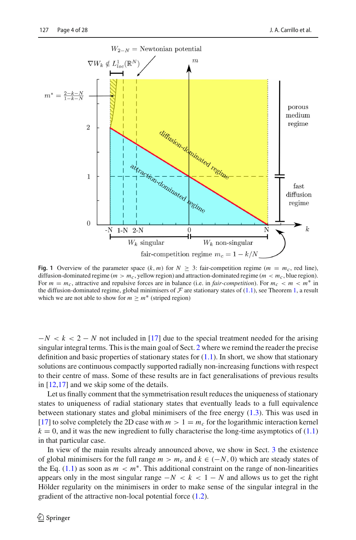

<span id="page-3-0"></span>**Fig. 1** Overview of the parameter space  $(k, m)$  for  $N \geq 3$ : fair-competition regime  $(m = m_c, \text{ red line})$ , diffusion-dominated regime  $(m > m_c,$  yellow region) and attraction-dominated regime  $(m < m_c,$  blue region). For  $m = m_c$ , attractive and repulsive forces are in balance (i.e. in *fair-competition*). For  $m_c < m < m^*$  in the diffusion-dominated regime, global minimisers of  $\mathcal F$  are stationary states of [\(1.1\)](#page-1-0), see Theorem [1,](#page-2-0) a result which we are not able to show for  $m \ge m^*$  (striped region)

 $-N < k < 2 - N$  not included in [\[17\]](#page-26-17) due to the special treatment needed for the arising singular integral terms. This is the main goal of Sect. [2](#page-4-1) where we remind the reader the precise definition and basic properties of stationary states for  $(1.1)$ . In short, we show that stationary solutions are continuous compactly supported radially non-increasing functions with respect to their centre of mass. Some of these results are in fact generalisations of previous results in [\[12](#page-25-6)[,17](#page-26-17)] and we skip some of the details.

Let us finally comment that the symmetrisation result reduces the uniqueness of stationary states to uniqueness of radial stationary states that eventually leads to a full equivalence between stationary states and global minimisers of the free energy [\(1.3\)](#page-1-1). This was used in [\[17\]](#page-26-17) to solve completely the 2D case with  $m > 1 = m_c$  for the logarithmic interaction kernel  $k = 0$ , and it was the new ingredient to fully characterise the long-time asymptotics of [\(1.1\)](#page-1-0) in that particular case.

In view of the main results already announced above, we show in Sect. [3](#page-8-0) the existence of global minimisers for the full range  $m > m_c$  and  $k \in (-N, 0)$  which are steady states of the Eq. [\(1.1\)](#page-1-0) as soon as  $m < m^*$ . This additional constraint on the range of non-linearities appears only in the most singular range  $-N < k < 1 - N$  and allows us to get the right Hölder regularity on the minimisers in order to make sense of the singular integral in the gradient of the attractive non-local potential force [\(1.2\)](#page-1-2).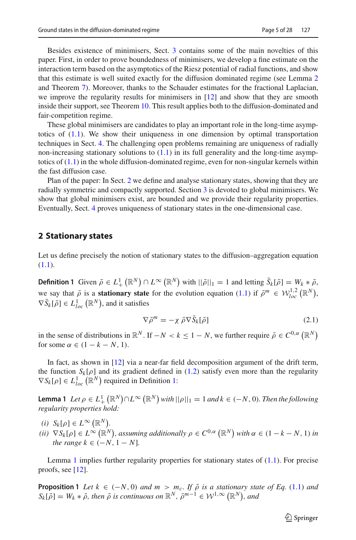Besides existence of minimisers, Sect. [3](#page-8-0) contains some of the main novelties of this paper. First, in order to prove boundedness of minimisers, we develop a fine estimate on the interaction term based on the asymptotics of the Riesz potential of radial functions, and show that this estimate is well suited exactly for the diffusion dominated regime (see Lemma [2](#page-11-0) and Theorem [7\)](#page-13-0). Moreover, thanks to the Schauder estimates for the fractional Laplacian, we improve the regularity results for minimisers in  $[12]$  and show that they are smooth inside their support, see Theorem [10.](#page-19-0) This result applies both to the diffusion-dominated and fair-competition regime.

These global minimisers are candidates to play an important role in the long-time asymptotics of [\(1.1\)](#page-1-0). We show their uniqueness in one dimension by optimal transportation techniques in Sect. [4.](#page-20-0) The challenging open problems remaining are uniqueness of radially non-increasing stationary solutions to  $(1.1)$  in its full generality and the long-time asymptotics of  $(1.1)$  in the whole diffusion-dominated regime, even for non-singular kernels within the fast diffusion case.

Plan of the paper: In Sect. [2](#page-4-1) we define and analyse stationary states, showing that they are radially symmetric and compactly supported. Section [3](#page-8-0) is devoted to global minimisers. We show that global minimisers exist, are bounded and we provide their regularity properties. Eventually, Sect. [4](#page-20-0) proves uniqueness of stationary states in the one-dimensional case.

# <span id="page-4-1"></span>**2 Stationary states**

<span id="page-4-0"></span>Let us define precisely the notion of stationary states to the diffusion–aggregation equation [\(1.1\)](#page-1-0).

**Definition 1** Given  $\bar{\rho} \in L^1_+(\mathbb{R}^N) \cap L^\infty(\mathbb{R}^N)$  with  $||\bar{\rho}||_1 = 1$  and letting  $\bar{S}_k[\bar{\rho}] = W_k * \bar{\rho}$ , we say that  $\overline{\rho}$  is a **stationary state** for the evolution equation [\(1.1\)](#page-1-0) if  $\overline{\rho}^m \in \mathcal{W}_{loc}^{1,2}(\mathbb{R}^N)$ ,  $\nabla \bar{S}_k[\bar{\rho}] \in L^1_{loc}(\mathbb{R}^N)$ , and it satisfies

<span id="page-4-4"></span>
$$
\nabla \bar{\rho}^m = -\chi \, \bar{\rho} \nabla \bar{S}_k[\bar{\rho}] \tag{2.1}
$$

in the sense of distributions in  $\mathbb{R}^N$ . If  $-N < k \leq 1 - N$ , we further require  $\bar{\rho} \in C^{0,\alpha}(\mathbb{R}^N)$ for some  $\alpha \in (1 - k - N, 1)$ .

In fact, as shown in [\[12](#page-25-6)] via a near-far field decomposition argument of the drift term, the function  $S_k[\rho]$  and its gradient defined in [\(1.2\)](#page-1-2) satisfy even more than the regularity  $\nabla S_k[\rho] \in L^1_{loc}(\mathbb{R}^N)$  required in Definition [1:](#page-4-0)

<span id="page-4-2"></span>**Lemma 1** *Let*  $\rho \in L^1_+(\mathbb{R}^N) \cap L^\infty(\mathbb{R}^N)$  *with*  $||\rho||_1 = 1$  *and*  $k \in (-N, 0)$ *. Then the following regularity properties hold:*

- $(i)$   $S_k[\rho] \in L^\infty(\mathbb{R}^N)$ .
- $(iii)$   $\nabla S_k[\rho] \in L^{\infty}(\mathbb{R}^N)$ , assuming additionally  $\rho \in C^{0,\alpha}(\mathbb{R}^N)$  with  $\alpha \in (1 k N, 1)$  in *the range*  $k \in (-N, 1 - N]$ .

<span id="page-4-3"></span>Lemma [1](#page-4-2) implies further regularity properties for stationary states of [\(1.1\)](#page-1-0). For precise proofs, see [\[12](#page-25-6)].

**Proposition 1** *Let*  $k \in (-N, 0)$  *and*  $m > m_c$ . If  $\overline{\rho}$  *is a stationary state of Eq.* [\(1.1\)](#page-1-0) *and*  $S_k[\bar{\rho}] = W_k * \bar{\rho}$ *, then*  $\bar{\rho}$  *is continuous on*  $\mathbb{R}^N$ *,*  $\bar{\rho}^{m-1} \in \mathcal{W}^{1,\infty}(\mathbb{R}^N)$ *, and* 

 $\circled{2}$  Springer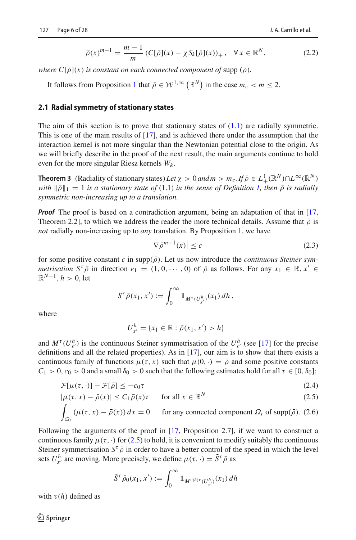<span id="page-5-3"></span>
$$
\bar{\rho}(x)^{m-1} = \frac{m-1}{m} \left( C[\bar{\rho}](x) - \chi S_k[\bar{\rho}](x) \right)_+, \quad \forall x \in \mathbb{R}^N,
$$
\n(2.2)

*where*  $C[\bar{\rho}](x)$  *is constant on each connected component of supp*  $(\bar{\rho})$ *.* 

It follows from Proposition [1](#page-4-3) that  $\bar{\rho} \in \mathcal{W}^{1,\infty}(\mathbb{R}^N)$  in the case  $m_c < m \leq 2$ .

#### **2.1 Radial symmetry of stationary states**

The aim of this section is to prove that stationary states of  $(1.1)$  are radially symmetric. This is one of the main results of [\[17](#page-26-17)], and is achieved there under the assumption that the interaction kernel is not more singular than the Newtonian potential close to the origin. As we will briefly describe in the proof of the next result, the main arguments continue to hold even for the more singular Riesz kernels *Wk* .

<span id="page-5-2"></span>**Theorem 3** (Radiality of stationary states) *Let*  $\chi > 0$  *and*  $m > m_c$ *. If*  $\bar{\rho} \in L^1_+(\mathbb{R}^N) \cap L^\infty(\mathbb{R}^N)$ *with*  $\|\bar{\rho}\|_1 = 1$  *is a stationary state of* [\(1.1\)](#page-1-0) *in the sense of Definition [1,](#page-4-0) then*  $\bar{\rho}$  *is radially symmetric non-increasing up to a translation.*

*Proof* The proof is based on a contradiction argument, being an adaptation of that in [\[17,](#page-26-17) Theorem 2.2], to which we address the reader the more technical details. Assume that  $\bar{\rho}$  is *not* radially non-increasing up to *any* translation. By Proposition [1,](#page-4-3) we have

<span id="page-5-1"></span>
$$
\left|\nabla \bar{\rho}^{m-1}(x)\right| \le c \tag{2.3}
$$

for some positive constant *c* in  $\text{supp}(\bar{\rho})$ . Let us now introduce the *continuous Steiner symmetrisation*  $S^{\tau} \overline{\rho}$  in direction  $e_1 = (1, 0, \dots, 0)$  of  $\overline{\rho}$  as follows. For any  $x_1 \in \mathbb{R}, x' \in$  $\mathbb{R}^{N-1}$ ,  $h > 0$ , let

$$
S^{\tau}\overline{\rho}(x_1,x'):=\int_0^{\infty}1\!\!1_{M^{\tau}(U_{x'}^h)}(x_1)\,dh\,,
$$

where

$$
U_{x'}^h = \{x_1 \in \mathbb{R} : \bar{\rho}(x_1, x') > h\}
$$

and  $M^{\tau}(U_{x'}^{h})$  is the continuous Steiner symmetrisation of the  $U_{x'}^{h}$  (see [\[17\]](#page-26-17) for the precise definitions and all the related properties). As in  $[17]$ , our aim is to show that there exists a continuous family of functions  $\mu(\tau, x)$  such that  $\mu(0, \cdot) = \overline{\rho}$  and some positive constants  $C_1 > 0$ ,  $c_0 > 0$  and a small  $\delta_0 > 0$  such that the following estimates hold for all  $\tau \in [0, \delta_0]$ :

<span id="page-5-0"></span>
$$
\mathcal{F}[\mu(\tau,\cdot)] - \mathcal{F}[\bar{\rho}] \le -c_0 \tau \tag{2.4}
$$

$$
|\mu(\tau, x) - \bar{\rho}(x)| \le C_1 \bar{\rho}(x)\tau \quad \text{for all } x \in \mathbb{R}^N
$$
 (2.5)

$$
\int_{\Omega_i} (\mu(\tau, x) - \bar{\rho}(x)) dx = 0
$$
 for any connected component  $\Omega_i$  of  $\text{supp}(\bar{\rho})$ . (2.6)

Following the arguments of the proof in [\[17,](#page-26-17) Proposition 2.7], if we want to construct a continuous family  $\mu(\tau, \cdot)$  for [\(2.5\)](#page-5-0) to hold, it is convenient to modify suitably the continuous Steiner symmetrisation  $S^{\tau} \bar{\rho}$  in order to have a better control of the speed in which the level sets  $U_{x'}^h$  are moving. More precisely, we define  $\mu(\tau, \cdot) = \tilde{S}^{\tau} \bar{\rho}$  as

$$
\tilde{S}^{\tau}\bar{\rho}_0(x_1,x'):=\int_0^{\infty} \mathbbm{1}_{M^{v(h)\tau}(U^h_{x'})}(x_1)\,dh
$$

with  $v(h)$  defined as

 $\mathcal{L}$  Springer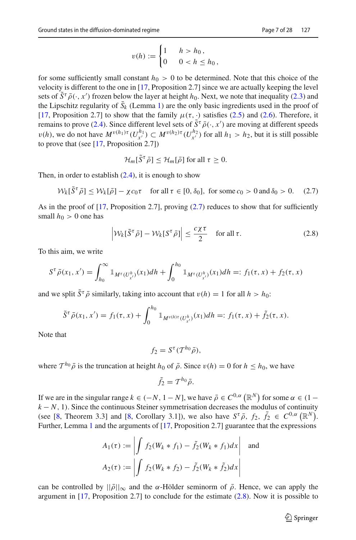$$
v(h) := \begin{cases} 1 & h > h_0, \\ 0 & 0 < h \le h_0, \end{cases}
$$

for some sufficiently small constant  $h_0 > 0$  to be determined. Note that this choice of the velocity is different to the one in [\[17,](#page-26-17) Proposition 2.7] since we are actually keeping the level sets of  $\tilde{S}^{\tau} \bar{\rho}(\cdot, x')$  frozen below the layer at height *h*<sub>0</sub>. Next, we note that inequality [\(2.3\)](#page-5-1) and the Lipschitz regularity of  $S_k$  (Lemma [1\)](#page-4-2) are the only basic ingredients used in the proof of [\[17,](#page-26-17) Proposition 2.7] to show that the family  $\mu(\tau, \cdot)$  satisfies [\(2.5\)](#page-5-0) and [\(2.6\)](#page-5-0). Therefore, it remains to prove [\(2.4\)](#page-5-0). Since different level sets of  $\tilde{S}^{\tau} \bar{\rho}(\cdot, x')$  are moving at different speeds  $v(h)$ , we do not have  $M^{v(h_1)\tau}(U^{h_1}_{x'}) \subset M^{v(h_2)\tau}(U^{h_2}_{x'})$  for all  $h_1 > h_2$ , but it is still possible to prove that (see [\[17](#page-26-17), Proposition 2.7])

$$
\mathcal{H}_m[\tilde{S}^\tau \bar{\rho}] \leq \mathcal{H}_m[\bar{\rho}] \text{ for all } \tau \geq 0.
$$

Then, in order to establish  $(2.4)$ , it is enough to show

<span id="page-6-0"></span>
$$
\mathcal{W}_k[\tilde{S}^\tau \bar{\rho}] \le \mathcal{W}_k[\bar{\rho}] - \chi c_0 \tau \quad \text{for all } \tau \in [0, \delta_0], \text{ for some } c_0 > 0 \text{ and } \delta_0 > 0. \tag{2.7}
$$

As in the proof of  $[17,$  $[17,$  Proposition 2.7], proving  $(2.7)$  reduces to show that for sufficiently small  $h_0 > 0$  one has

<span id="page-6-1"></span>
$$
\left| \mathcal{W}_k[\tilde{S}^\tau \bar{\rho}] - \mathcal{W}_k[S^\tau \bar{\rho}] \right| \le \frac{c \chi \tau}{2} \quad \text{for all } \tau.
$$
 (2.8)

To this aim, we write

$$
S^{\tau}\bar{\rho}(x_1,x') = \int_{h_0}^{\infty} \mathbb{1}_{M^{\tau}(U_{x'}^h)}(x_1)dh + \int_{0}^{h_0} \mathbb{1}_{M^{\tau}(U_{x'}^h)}(x_1)dh =: f_1(\tau,x) + f_2(\tau,x)
$$

and we split  $\tilde{S}^{\tau} \bar{\rho}$  similarly, taking into account that  $v(h) = 1$  for all  $h > h_0$ .

$$
\tilde{S}^{\tau}\bar{\rho}(x_1,x')=f_1(\tau,x)+\int_0^{h_0} \mathbb{1}_{M^{v(h)\tau}(U_{x'}^{h})}(x_1)dh=:f_1(\tau,x)+\tilde{f}_2(\tau,x).
$$

Note that

$$
f_2 = S^{\tau}(T^{h_0}\bar{\rho}),
$$

where  $T^{h_0} \bar{\rho}$  is the truncation at height  $h_0$  of  $\bar{\rho}$ . Since  $v(h) = 0$  for  $h \leq h_0$ , we have

$$
\tilde{f}_2 = T^{h_0}\bar{\rho}.
$$

If we are in the singular range  $k \in (-N, 1 - N]$ , we have  $\bar{\rho} \in C^{0, \alpha}(\mathbb{R}^N)$  for some  $\alpha \in (1 - \alpha)$  $k - N$ , 1). Since the continuous Steiner symmetrisation decreases the modulus of continuity (see [\[8](#page-25-8), Theorem 3.3] and [\[8,](#page-25-8) Corollary 3.1]), we also have  $S^{\tau} \bar{\rho}$ ,  $f_2$ ,  $\tilde{f}_2 \in C^{0,\alpha}(\mathbb{R}^N)$ . Further, Lemma [1](#page-4-2) and the arguments of [\[17,](#page-26-17) Proposition 2.7] guarantee that the expressions

$$
A_1(\tau) := \left| \int f_2(W_k * f_1) - \tilde{f}_2(W_k * f_1) dx \right| \text{ and}
$$

$$
A_2(\tau) := \left| \int f_2(W_k * f_2) - \tilde{f}_2(W_k * \tilde{f}_2) dx \right|
$$

can be controlled by  $||\bar{\rho}||_{\infty}$  and the  $\alpha$ -Hölder seminorm of  $\bar{\rho}$ . Hence, we can apply the argument in  $[17,$  Proposition 2.7] to conclude for the estimate  $(2.8)$ . Now it is possible to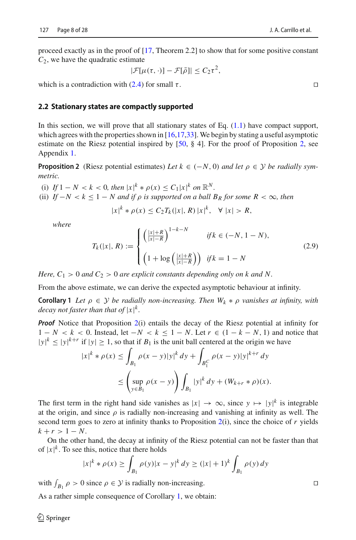$$
|\mathcal{F}[\mu(\tau,\cdot)] - \mathcal{F}[\bar{\rho}]| \leq C_2 \tau^2,
$$

which is a contradiction with [\(2.4\)](#page-5-0) for small  $\tau$ .

# **2.2 Stationary states are compactly supported**

In this section, we will prove that all stationary states of Eq. [\(1.1\)](#page-1-0) have compact support, which agrees with the properties shown in  $[16,17,33]$  $[16,17,33]$  $[16,17,33]$ . We begin by stating a useful asymptotic estimate on the Riesz potential inspired by [\[50,](#page-27-3) § 4]. For the proof of Proposition [2,](#page-7-0) see Appendix [1.](#page-23-0)

<span id="page-7-0"></span>**Proposition 2** (Riesz potential estimates) *Let*  $k \in (-N, 0)$  *and let*  $\rho \in \mathcal{Y}$  *be radially symmetric.*

(i) If  $1 - N < k < 0$ , then  $|x|^k * \rho(x) \leq C_1 |x|^k$  on  $\mathbb{R}^N$ .

(ii) *If*  $-N < k \leq 1 - N$  and if  $\rho$  is supported on a ball  $B_R$  for some  $R < \infty$ , then

$$
|x|^k * \rho(x) \le C_2 T_k(|x|, R) |x|^k, \quad \forall |x| > R,
$$

*where*

<span id="page-7-2"></span>
$$
T_{k}(|x|, R) := \begin{cases} \left(\frac{|x| + R}{|x| - R}\right)^{1 - k - N} & \text{if } k \in (-N, 1 - N), \\ \left(1 + \log\left(\frac{|x| + R}{|x| - R}\right)\right) & \text{if } k = 1 - N \end{cases} \tag{2.9}
$$

*Here,*  $C_1 > 0$  *and*  $C_2 > 0$  *are explicit constants depending only on k and N.* 

<span id="page-7-1"></span>From the above estimate, we can derive the expected asymptotic behaviour at infinity.

**Corollary 1** *Let*  $\rho \in \mathcal{Y}$  *be radially non-increasing. Then*  $W_k * \rho$  *vanishes at infinity, with* decay not faster than that of  $|x|^{k}$ .

*Proof* Notice that Proposition [2\(](#page-7-0)i) entails the decay of the Riesz potential at infinity for  $1 - N < k < 0$ . Instead, let  $-N < k \le 1 - N$ . Let  $r \in (1 - k - N, 1)$  and notice that  $|y|^{k} \le |y|^{k+r}$  if  $|y| \ge 1$ , so that if  $B_1$  is the unit ball centered at the origin we have

$$
|x|^{k} * \rho(x) \le \int_{B_1} \rho(x - y)|y|^{k} dy + \int_{B_1^C} \rho(x - y)|y|^{k+r} dy
$$
  

$$
\le \left(\sup_{y \in B_1} \rho(x - y)\right) \int_{B_1} |y|^{k} dy + (W_{k+r} * \rho)(x).
$$

The first term in the right hand side vanishes as  $|x| \to \infty$ , since  $y \mapsto |y|^k$  is integrable at the origin, and since  $\rho$  is radially non-increasing and vanishing at infinity as well. The second term goes to zero at infinity thanks to Proposition [2\(](#page-7-0)i), since the choice of *r* yields  $k + r > 1 - N$ .

On the other hand, the decay at infinity of the Riesz potential can not be faster than that of  $|x|^k$ . To see this, notice that there holds

$$
|x|^{k} * \rho(x) \ge \int_{B_1} \rho(y)|x - y|^{k} dy \ge (|x| + 1)^{k} \int_{B_1} \rho(y) dy
$$

with  $\int_{B_1} \rho > 0$  since  $\rho \in \mathcal{Y}$  is radially non-increasing.

As a rather simple consequence of Corollary [1,](#page-7-1) we obtain: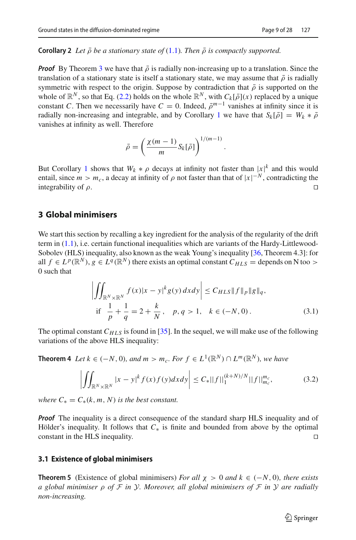#### <span id="page-8-5"></span>**Corollary 2** Let  $\bar{\rho}$  be a stationary state of [\(1.1\)](#page-1-0). Then  $\bar{\rho}$  is compactly supported.

*Proof* By Theorem [3](#page-5-2) we have that  $\bar{\rho}$  is radially non-increasing up to a translation. Since the translation of a stationary state is itself a stationary state, we may assume that  $\bar{\rho}$  is radially symmetric with respect to the origin. Suppose by contradiction that  $\bar{\rho}$  is supported on the whole of  $\mathbb{R}^N$ , so that Eq. [\(2.2\)](#page-5-3) holds on the whole  $\mathbb{R}^N$ , with  $C_k[\bar{\rho}](x)$  replaced by a unique constant *C*. Then we necessarily have  $C = 0$ . Indeed,  $\bar{\rho}^{m-1}$  vanishes at infinity since it is radially non-increasing and integrable, and by Corollary [1](#page-7-1) we have that  $S_k[\bar{\rho}] = W_k * \bar{\rho}$ vanishes at infinity as well. Therefore

$$
\bar{\rho} = \left(\frac{\chi(m-1)}{m} S_k[\bar{\rho}]\right)^{1/(m-1)}
$$

But Corollary [1](#page-7-1) shows that  $W_k * \rho$  decays at infinity not faster than  $|x|^k$  and this would entail, since  $m > m_c$ , a decay at infinity of  $\rho$  not faster than that of  $|x|^{-N}$ , contradicting the integrability of  $\rho$ .

## <span id="page-8-0"></span>**3 Global minimisers**

We start this section by recalling a key ingredient for the analysis of the regularity of the drift term in [\(1.1\)](#page-1-0), i.e. certain functional inequalities which are variants of the Hardy-Littlewood-Sobolev (HLS) inequality, also known as the weak Young's inequality [\[36](#page-26-19), Theorem 4.3]: for all  $f \in L^p(\mathbb{R}^N)$ ,  $g \in L^q(\mathbb{R}^N)$  there exists an optimal constant  $C_{HLS}$  = depends on N too > 0 such that

$$
\left| \iint_{\mathbb{R}^N \times \mathbb{R}^N} f(x) |x - y|^k g(y) \, dx \, dy \right| \leq C_{HLS} \|f\|_p \|g\|_q,
$$
  
if  $\frac{1}{p} + \frac{1}{q} = 2 + \frac{k}{N}$ ,  $p, q > 1$ ,  $k \in (-N, 0)$ . (3.1)

<span id="page-8-2"></span>.

<span id="page-8-3"></span>The optimal constant  $C_{HLS}$  is found in [\[35](#page-26-20)]. In the sequel, we will make use of the following variations of the above HLS inequality:

**Theorem 4** *Let*  $k \in (-N, 0)$ *, and*  $m > m_c$ *. For*  $f \in L^1(\mathbb{R}^N) \cap L^m(\mathbb{R}^N)$ *, we have* 

<span id="page-8-4"></span>
$$
\left| \iint_{\mathbb{R}^N \times \mathbb{R}^N} |x - y|^k f(x) f(y) dx dy \right| \le C_* ||f||_1^{(k+N)/N} ||f||_{m_c}^{m_c},\tag{3.2}
$$

*where*  $C_* = C_*(k, m, N)$  *is the best constant.* 

*Proof* The inequality is a direct consequence of the standard sharp HLS inequality and of Hölder's inequality. It follows that  $C_*$  is finite and bounded from above by the optimal constant in the HLS inequality. constant in the HLS inequality.

#### **3.1 Existence of global minimisers**

<span id="page-8-1"></span>**Theorem 5** (Existence of global minimisers) *For all*  $\chi > 0$  *and*  $k \in (-N, 0)$ *, there exists a global minimiser* ρ *of F in Y. Moreover, all global minimisers of F in Y are radially non-increasing.*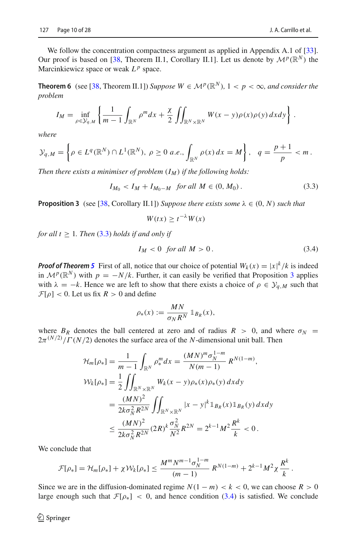We follow the concentration compactness argument as applied in Appendix A.1 of [\[33\]](#page-26-18). Our proof is based on [\[38,](#page-26-21) Theorem II.1, Corollary II.1]. Let us denote by  $\mathcal{M}^p(\mathbb{R}^N)$  the Marcinkiewicz space or weak  $L^p$  space.

<span id="page-9-3"></span>**Theorem 6** (see [\[38,](#page-26-21) Theorem II.1]) *Suppose*  $W \in \mathcal{M}^p(\mathbb{R}^N)$ ,  $1 < p < \infty$ , and consider the *problem*

$$
I_M = \inf_{\rho \in \mathcal{Y}_{q,M}} \left\{ \frac{1}{m-1} \int_{\mathbb{R}^N} \rho^m dx + \frac{\chi}{2} \iint_{\mathbb{R}^N \times \mathbb{R}^N} W(x-y) \rho(x) \rho(y) dx dy \right\}.
$$

*where*

$$
\mathcal{Y}_{q,M} = \left\{ \rho \in L^q(\mathbb{R}^N) \cap L^1(\mathbb{R}^N), \ \rho \ge 0 \ a.e., \int_{\mathbb{R}^N} \rho(x) \, dx = M \right\}, \ \ q = \frac{p+1}{p} < m \, .
$$

*Then there exists a minimiser of problem*  $(I_M)$  *if the following holds:* 

<span id="page-9-0"></span> $I_{M_0} < I_M + I_{M_0-M}$  *for all*  $M \in (0, M_0)$ . (3.3)

<span id="page-9-1"></span>**Proposition 3** (see [\[38](#page-26-21), Corollary II.1]) *Suppose there exists some*  $\lambda \in (0, N)$  *such that* 

$$
W(tx) \ge t^{-\lambda} W(x)
$$

*for all t*  $\geq$  1*. Then* [\(3.3\)](#page-9-0) *holds if and only if* 

<span id="page-9-2"></span>
$$
I_M < 0 \quad \text{for all } M > 0 \,. \tag{3.4}
$$

*Proof of Theorem [5](#page-8-1)* First of all, notice that our choice of potential  $W_k(x) = |x|^k / k$  is indeed in  $\mathcal{M}^p(\mathbb{R}^N)$  with  $p = -N/k$ . Further, it can easily be verified that Proposition [3](#page-9-1) applies with  $\lambda = -k$ . Hence we are left to show that there exists a choice of  $\rho \in \mathcal{Y}_{q,M}$  such that  $\mathcal{F}[\rho] < 0$ . Let us fix  $R > 0$  and define

$$
\rho_*(x) := \frac{MN}{\sigma_N R^N} \mathbb{1}_{B_R}(x),
$$

where  $B_R$  denotes the ball centered at zero and of radius  $R > 0$ , and where  $\sigma_N =$  $2\pi^{(N/2)}/\Gamma(N/2)$  denotes the surface area of the *N*-dimensional unit ball. Then

$$
\mathcal{H}_{m}[\rho_{*}] = \frac{1}{m-1} \int_{\mathbb{R}^{N}} \rho_{*}^{m} dx = \frac{(MN)^{m} \sigma_{N}^{1-m}}{N(m-1)} R^{N(1-m)},
$$
  
\n
$$
\mathcal{W}_{k}[\rho_{*}] = \frac{1}{2} \iint_{\mathbb{R}^{N} \times \mathbb{R}^{N}} W_{k}(x-y) \rho_{*}(x) \rho_{*}(y) dx dy
$$
  
\n
$$
= \frac{(MN)^{2}}{2k \sigma_{N}^{2} R^{2N}} \iint_{\mathbb{R}^{N} \times \mathbb{R}^{N}} |x-y|^{k} \mathbb{1}_{B_{R}}(x) \mathbb{1}_{B_{R}}(y) dx dy
$$
  
\n
$$
\leq \frac{(MN)^{2}}{2k \sigma_{N}^{2} R^{2N}} (2R)^{k} \frac{\sigma_{N}^{2}}{N^{2}} R^{2N} = 2^{k-1} M^{2} \frac{R^{k}}{k} < 0.
$$

We conclude that

$$
\mathcal{F}[\rho_*] = \mathcal{H}_m[\rho_*] + \chi \mathcal{W}_k[\rho_*] \le \frac{M^m N^{m-1} \sigma_N^{1-m}}{(m-1)} R^{N(1-m)} + 2^{k-1} M^2 \chi \frac{R^k}{k}.
$$

Since we are in the diffusion-dominated regime  $N(1 - m) < k < 0$ , we can choose  $R > 0$ large enough such that  $\mathcal{F}[\rho_*] < 0$ , and hence condition [\(3.4\)](#page-9-2) is satisfied. We conclude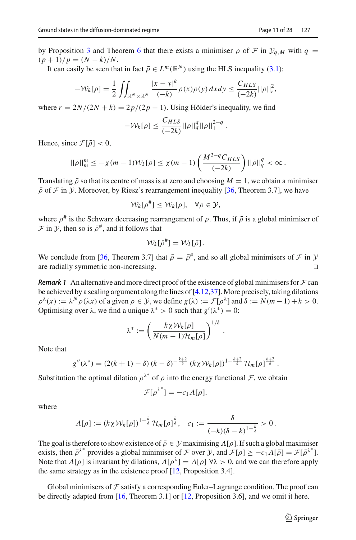by Proposition [3](#page-9-1) and Theorem [6](#page-9-3) that there exists a minimiser  $\bar{\rho}$  of  $\mathcal{F}$  in  $\mathcal{Y}_{a,M}$  with  $q =$  $(p+1)/p = (N-k)/N$ .

It can easily be seen that in fact  $\bar{\rho} \in L^m(\mathbb{R}^N)$  using the HLS inequality [\(3.1\)](#page-8-2):

$$
-\mathcal{W}_k[\rho] = \frac{1}{2} \iint_{\mathbb{R}^N \times \mathbb{R}^N} \frac{|x - y|^k}{(-k)} \rho(x) \rho(y) dx dy \le \frac{C_{HLS}}{(-2k)} ||\rho||_r^2,
$$

where  $r = 2N/(2N + k) = 2p/(2p - 1)$ . Using Hölder's inequality, we find

$$
-\mathcal{W}_{k}[\rho] \leq \frac{C_{HLS}}{(-2k)} ||\rho||_{q}^{q} ||\rho||_{1}^{2-q}.
$$

Hence, since  $\mathcal{F}[\bar{\rho}] < 0$ ,

$$
||\bar{\rho}||_m^m \leq -\chi(m-1)\mathcal{W}_k[\bar{\rho}] \leq \chi(m-1)\left(\frac{M^{2-q}C_{HLS}}{(-2k)}\right) ||\bar{\rho}||_q^q < \infty.
$$

Translating  $\bar{\rho}$  so that its centre of mass is at zero and choosing  $M = 1$ , we obtain a minimiser  $\bar{\rho}$  of *F* in *Y*. Moreover, by Riesz's rearrangement inequality [\[36,](#page-26-19) Theorem 3.7], we have

$$
\mathcal{W}_k[\rho^\#] \leq \mathcal{W}_k[\rho], \quad \forall \rho \in \mathcal{Y},
$$

where  $\rho^{\#}$  is the Schwarz decreasing rearrangement of  $\rho$ . Thus, if  $\bar{\rho}$  is a global minimiser of  $\mathcal F$  in  $\mathcal Y$ , then so is  $\bar \rho^{\#}$ , and it follows that

$$
\mathcal{W}_k[\bar{\rho}^{\#}] = \mathcal{W}_k[\bar{\rho}].
$$

We conclude from [\[36,](#page-26-19) Theorem 3.7] that  $\bar{\rho} = \bar{\rho}^{\#}$ , and so all global minimisers of *F* in *Y* are radially symmetric non-increasing are radially symmetric non-increasing.

<span id="page-10-1"></span>*Remark 1* An alternative and more direct proof of the existence of global minimisers for  $\mathcal F$  can be achieved by a scaling argument along the lines of  $[4,12,37]$  $[4,12,37]$  $[4,12,37]$  $[4,12,37]$ . More precisely, taking dilations  $\rho^{\lambda}(x) := \lambda^{N} \rho(\lambda x)$  of a given  $\rho \in \mathcal{Y}$ , we define  $g(\lambda) := \mathcal{F}[\rho^{\lambda}]$  and  $\delta := N(m-1) + k > 0$ . Optimising over  $\lambda$ , we find a unique  $\lambda^* > 0$  such that  $g'(\lambda^*) = 0$ :

$$
\lambda^* := \left(\frac{k\chi \mathcal{W}_k[\rho]}{N(m-1)\mathcal{H}_m[\rho]}\right)^{1/\delta}.
$$

Note that

$$
g''(\lambda^*) = (2(k+1) - \delta) (k - \delta)^{-\frac{k+2}{\delta}} (k \chi \mathcal{W}_k[\rho])^{1-\frac{k+2}{\delta}} \mathcal{H}_m[\rho]^{\frac{k+2}{\delta}}.
$$

Substitution the optimal dilation  $\rho^{\lambda^*}$  of  $\rho$  into the energy functional *F*, we obtain

$$
\mathcal{F}[\rho^{\lambda^*}] = -c_1 \Lambda[\rho],
$$

where

$$
\Lambda[\rho] := (k \chi \mathcal{W}_k[\rho])^{1-\frac{k}{\delta}} \mathcal{H}_m[\rho]^{\frac{k}{\delta}}, \quad c_1 := \frac{\delta}{(-k)(\delta - k)^{1-\frac{k}{\delta}}} > 0.
$$

The goal is therefore to show existence of  $\bar{\rho} \in \mathcal{Y}$  maximising  $\Lambda[\rho]$ . If such a global maximiser exists, then  $\bar{\rho}^{\lambda^*}$  provides a global minimiser of *F* over *Y*, and  $\mathcal{F}[\rho] \ge -c_1 \Lambda[\bar{\rho}] = \mathcal{F}[\bar{\rho}^{\lambda^*}]$ . Note that  $\Lambda[\rho]$  is invariant by dilations,  $\Lambda[\rho^{\lambda}] = \Lambda[\rho] \forall \lambda > 0$ , and we can therefore apply the same strategy as in the existence proof [\[12,](#page-25-6) Proposition 3.4].

<span id="page-10-0"></span>Global minimisers of  $F$  satisfy a corresponding Euler–Lagrange condition. The proof can be directly adapted from [\[16,](#page-26-16) Theorem 3.1] or [\[12](#page-25-6), Proposition 3.6], and we omit it here.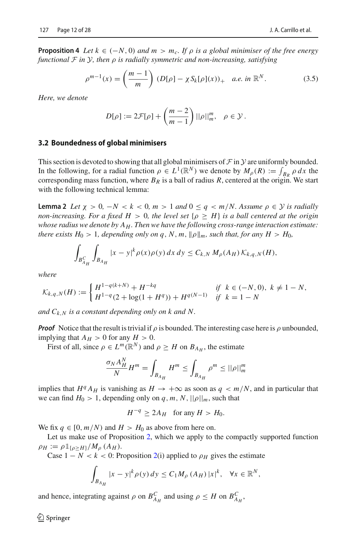**Proposition 4** *Let*  $k \in (-N, 0)$  *and*  $m > m_c$ . If  $\rho$  *is a global minimiser of the free energy functional F in Y, then* ρ *is radially symmetric and non-increasing, satisfying*

<span id="page-11-1"></span>
$$
\rho^{m-1}(x) = \left(\frac{m-1}{m}\right) (D[\rho] - \chi S_k[\rho](x))_+ \quad a.e. \text{ in } \mathbb{R}^N. \tag{3.5}
$$

*Here, we denote*

$$
D[\rho] := 2\mathcal{F}[\rho] + \left(\frac{m-2}{m-1}\right) ||\rho||_m^m, \quad \rho \in \mathcal{Y}.
$$

# **3.2 Boundedness of global minimisers**

This section is devoted to showing that all global minimisers of  $\mathcal F$  in  $\mathcal Y$  are uniformly bounded. In the following, for a radial function  $\rho \in L^1(\mathbb{R}^N)$  we denote by  $M_\rho(R) := \int_{B_R} \rho \, dx$  the corresponding mass function, where  $B_R$  is a ball of radius  $R$ , centered at the origin. We start with the following technical lemma:

<span id="page-11-0"></span>**Lemma 2** Let  $\chi > 0$ ,  $-N < k < 0$ ,  $m > 1$  and  $0 \leq q < m/N$ . Assume  $\rho \in \mathcal{Y}$  is radially *non-increasing. For a fixed H* > 0*, the level set*  $\{\rho \geq H\}$  *is a ball centered at the origin whose radius we denote by AH . Then we have the following cross-range interaction estimate: there exists*  $H_0 > 1$ *, depending only on q, N, m,*  $\|\rho\|_m$ *, such that, for any*  $H > H_0$ *,* 

$$
\int_{B_{A_H}^C} \int_{B_{A_H}} |x - y|^k \rho(x) \rho(y) dx dy \leq C_{k,N} M_\rho(A_H) \mathcal{K}_{k,q,N}(H),
$$

*where*

$$
\mathcal{K}_{k,q,N}(H) := \begin{cases} H^{1-q(k+N)} + H^{-kq} & \text{if } k \in (-N,0), \ k \neq 1 - N, \\ H^{1-q}(2 + \log(1 + H^q)) + H^{q(N-1)} & \text{if } k = 1 - N \end{cases}
$$

*and Ck*,*<sup>N</sup> is a constant depending only on k and N.*

*Proof* Notice that the result is trivial if  $\rho$  is bounded. The interesting case here is  $\rho$  unbounded, implying that  $A_H > 0$  for any  $H > 0$ .

First of all, since  $\rho \in L^m(\mathbb{R}^N)$  and  $\rho \geq H$  on  $B_{A_H}$ , the estimate

$$
\frac{\sigma_N A_H^N}{N} H^m = \int_{B_{A_H}} H^m \le \int_{B_{A_H}} \rho^m \le ||\rho||_m^m
$$

implies that  $H^q A_H$  is vanishing as  $H \to +\infty$  as soon as  $q < m/N$ , and in particular that we can find  $H_0 > 1$ , depending only on q, m, N,  $||\rho||_m$ , such that

$$
H^{-q} \ge 2A_H \quad \text{for any } H > H_0.
$$

We fix  $q \in [0, m/N)$  and  $H > H_0$  as above from here on.

Let us make use of Proposition [2,](#page-7-0) which we apply to the compactly supported function  $\rho_H := \rho \mathbb{1}_{\{\rho \ge H\}} / M_\rho(A_H).$ 

Case  $1 - N < k < 0$ : Proposition [2\(](#page-7-0)i) applied to  $\rho_H$  gives the estimate

$$
\int_{B_{A_H}} |x - y|^k \rho(y) dy \le C_1 M_\rho(A_H) |x|^k, \quad \forall x \in \mathbb{R}^N,
$$

and hence, integrating against  $\rho$  on  $B_{A_H}^C$  and using  $\rho \leq H$  on  $B_{A_H}^C$ ,

 $\mathcal{L}$  Springer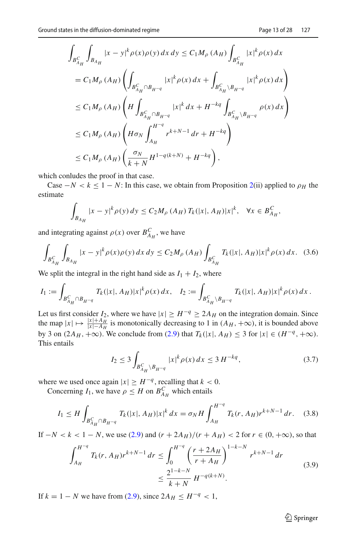$$
\int_{B_{A_H}^C} \int_{B_{A_H}} |x - y|^k \rho(x) \rho(y) dx dy \le C_1 M_\rho (A_H) \int_{B_{A_H}^C} |x|^k \rho(x) dx
$$
  
\n
$$
= C_1 M_\rho (A_H) \left( \int_{B_{A_H}^C \cap B_{H^{-q}}} |x|^k \rho(x) dx + \int_{B_{A_H}^C \setminus B_{H^{-q}}} |x|^k \rho(x) dx \right)
$$
  
\n
$$
\le C_1 M_\rho (A_H) \left( H \int_{B_{A_H}^C \cap B_{H^{-q}}} |x|^k dx + H^{-kq} \int_{B_{A_H}^C \setminus B_{H^{-q}}} \rho(x) dx \right)
$$
  
\n
$$
\le C_1 M_\rho (A_H) \left( H \sigma_N \int_{A_H}^{H^{-q}} r^{k+N-1} dr + H^{-kq} \right)
$$
  
\n
$$
\le C_1 M_\rho (A_H) \left( \frac{\sigma_N}{k+N} H^{1-q(k+N)} + H^{-kq} \right),
$$

which conludes the proof in that case.

Case  $-N < k \leq 1 - N$ : In this case, we obtain from Proposition [2\(](#page-7-0)ii) applied to  $\rho_H$  the estimate

$$
\int_{B_{A_H}} |x - y|^k \rho(y) \, dy \le C_2 M_\rho \left( A_H \right) T_k(|x|, A_H) |x|^k, \quad \forall x \in B_{A_H}^C,
$$

and integrating against  $\rho(x)$  over  $B_{A_H}^C$ , we have

<span id="page-12-3"></span>
$$
\int_{B_{A_H}^C} \int_{B_{A_H}} |x - y|^k \rho(x) \rho(y) \, dx \, dy \le C_2 M_\rho \left( A_H \right) \int_{B_{A_H}^C} T_k(|x|, A_H) |x|^k \rho(x) \, dx. \tag{3.6}
$$

We split the integral in the right hand side as  $I_1 + I_2$ , where

$$
I_1 := \int_{B_{A_H}^C \cap B_{H^{-q}}} T_k(|x|, A_H) |x|^k \rho(x) \, dx, \quad I_2 := \int_{B_{A_H}^C \backslash B_{H^{-q}}} T_k(|x|, A_H) |x|^k \rho(x) \, dx \, .
$$

Let us first consider  $I_2$ , where we have  $|x| \ge H^{-q} \ge 2A_H$  on the integration domain. Since the map  $|x| \mapsto \frac{|x| + A_H}{|x| - A_H}$  is monotonically decreasing to 1 in  $(A_H, +\infty)$ , it is bounded above by 3 on  $(2A_H, +\infty)$ . We conclude from  $(2.9)$  that  $T_k(|x|, A_H) \leq 3$  for  $|x| \in (H^{-q}, +\infty)$ . This entails

<span id="page-12-2"></span>
$$
I_2 \le 3 \int_{B_{A_H}^C \backslash B_{H-q}} |x|^k \rho(x) dx \le 3 H^{-kq}, \tag{3.7}
$$

where we used once again  $|x| \ge H^{-q}$ , recalling that  $k < 0$ .

Concerning  $I_1$ , we have  $\rho \leq H$  on  $B_{A_H}^C$  which entails

<span id="page-12-0"></span>
$$
I_1 \le H \int_{B_{A_H}^C \cap B_{H^{-q}}} T_k(|x|, A_H) |x|^k dx = \sigma_N H \int_{A_H}^{H^{-q}} T_k(r, A_H) r^{k+N-1} dr. \tag{3.8}
$$

If  $-N < k < 1 - N$ , we use [\(2.9\)](#page-7-2) and  $(r + 2A_H)/(r + A_H) < 2$  for  $r \in (0, +\infty)$ , so that

<span id="page-12-1"></span>
$$
\int_{A_H}^{H^{-q}} T_k(r, A_H) r^{k+N-1} \, dr \le \int_0^{H^{-q}} \left( \frac{r + 2A_H}{r + A_H} \right)^{1-k-N} r^{k+N-1} \, dr
$$
\n
$$
\le \frac{2^{1-k-N}}{k+N} H^{-q(k+N)}.
$$
\n(3.9)

If *k* = 1 − *N* we have from [\(2.9\)](#page-7-2), since  $2A_H \leq H^{-q}$  < 1,

<sup>2</sup> Springer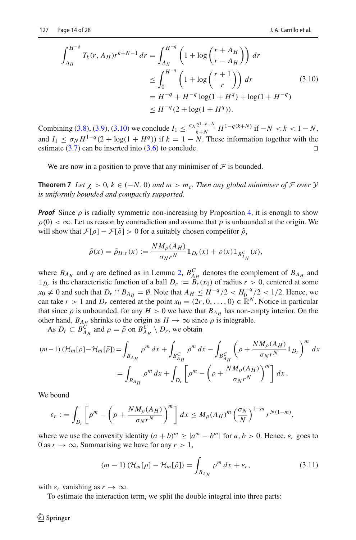<span id="page-13-1"></span>
$$
\int_{A_H}^{H^{-q}} T_k(r, A_H) r^{k+N-1} dr = \int_{A_H}^{H^{-q}} \left( 1 + \log \left( \frac{r + A_H}{r - A_H} \right) \right) dr
$$
  
\n
$$
\leq \int_0^{H^{-q}} \left( 1 + \log \left( \frac{r + 1}{r} \right) \right) dr
$$
  
\n
$$
= H^{-q} + H^{-q} \log(1 + H^q) + \log(1 + H^{-q})
$$
  
\n
$$
\leq H^{-q} (2 + \log(1 + H^q)).
$$
\n(3.10)

Combining [\(3.8\)](#page-12-0), [\(3.9\)](#page-12-1), [\(3.10\)](#page-13-1) we conclude  $I_1 \n\t\leq \frac{\sigma_N 2^{1-k+N}}{k+N} H^{1-q(k+N)}$  if  $-N < k < 1-N$ , and  $I_1 \leq \sigma_N H^{1-q}(2 + \log(1 + H^q))$  if  $k = 1 - N$ . These information together with the estimate (3.7) can be inserted into (3.6) to conclude estimate  $(3.7)$  can be inserted into  $(3.6)$  to conclude.

<span id="page-13-0"></span>We are now in a position to prove that any minimiser of  $\mathcal F$  is bounded.

**Theorem 7** *Let*  $\chi > 0$ ,  $k \in (-N, 0)$  *and*  $m > m_c$ *. Then any global minimiser of F over Y is uniformly bounded and compactly supported.*

*Proof* Since  $\rho$  is radially symmetric non-increasing by Proposition [4,](#page-10-0) it is enough to show  $\rho(0) < \infty$ . Let us reason by contradiction and assume that  $\rho$  is unbounded at the origin. We will show that  $\mathcal{F}[\rho] - \mathcal{F}[\tilde{\rho}] > 0$  for a suitably chosen competitor  $\tilde{\rho}$ ,

$$
\tilde{\rho}(x) = \tilde{\rho}_{H,r}(x) := \frac{N M_{\rho}(A_H)}{\sigma_N r^N} \mathbb{1}_{D_r}(x) + \rho(x) \mathbb{1}_{B_{A_H}^C}(x),
$$

where  $B_{A_H}$  and *q* are defined as in Lemma [2,](#page-11-0)  $B_{A_H}^C$  denotes the complement of  $B_{A_H}$  and  $\mathbb{1}_{D_r}$  is the characteristic function of a ball  $D_r := B_r(x_0)$  of radius  $r > 0$ , centered at some *x*<sub>0</sub> ≠ 0 and such that  $D_r$  ∩  $B_{A_H} = \emptyset$ . Note that  $A_H \leq H^{-q}/2 < H_0^{-q}/2 < 1/2$ . Hence, we can take  $r > 1$  and  $D_r$  centered at the point  $x_0 = (2r, 0, \ldots, 0) \in \mathbb{R}^N$ . Notice in particular that since  $\rho$  is unbounded, for any  $H > 0$  we have that  $B_{A_H}$  has non-empty interior. On the other hand,  $B_{A_H}$  shrinks to the origin as  $H \to \infty$  since  $\rho$  is integrable.

As  $D_r \subset B_{A_H}^C$  and  $\rho = \tilde{\rho}$  on  $B_{A_H}^C \setminus D_r$ , we obtain

$$
(m-1)\ (\mathcal{H}_m[\rho] - \mathcal{H}_m[\tilde{\rho}]) = \int_{B_{A_H}} \rho^m dx + \int_{B_{A_H}^C} \rho^m dx - \int_{B_{A_H}^C} \left(\rho + \frac{N M_\rho (A_H)}{\sigma_N r^N} \mathbb{1}_{D_r}\right)^m dx
$$
  
= 
$$
\int_{B_{A_H}} \rho^m dx + \int_{D_r} \left[\rho^m - \left(\rho + \frac{N M_\rho (A_H)}{\sigma_N r^N}\right)^m \right] dx.
$$

We bound

$$
\varepsilon_r := \int_{D_r} \left[ \rho^m - \left( \rho + \frac{N M_\rho(A_H)}{\sigma_N r^N} \right)^m \right] dx \leq M_\rho(A_H)^m \left( \frac{\sigma_N}{N} \right)^{1-m} r^{N(1-m)},
$$

where we use the convexity identity  $(a + b)^m \ge |a^m - b^m|$  for  $a, b > 0$ . Hence,  $\varepsilon_r$  goes to 0 as  $r \to \infty$ . Summarising we have for any  $r > 1$ ,

<span id="page-13-2"></span>
$$
(m-1)\left(\mathcal{H}_m[\rho] - \mathcal{H}_m[\tilde{\rho}]\right) = \int_{B_{A_H}} \rho^m \, dx + \varepsilon_r,\tag{3.11}
$$

with  $\varepsilon_r$  vanishing as  $r \to \infty$ .

To estimate the interaction term, we split the double integral into three parts: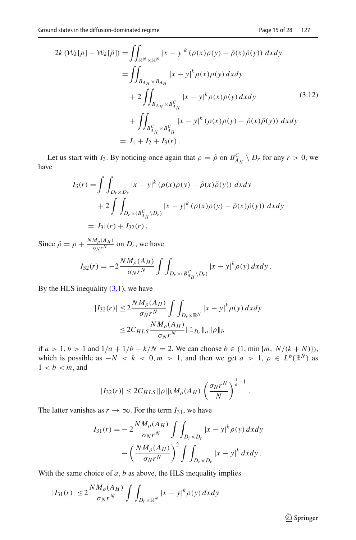<span id="page-14-0"></span>
$$
2k \left( \mathcal{W}_{k}[\rho] - \mathcal{W}_{k}[\tilde{\rho}] \right) = \iint_{\mathbb{R}^{N} \times \mathbb{R}^{N}} |x - y|^{k} \left( \rho(x) \rho(y) - \tilde{\rho}(x) \tilde{\rho}(y) \right) dx dy
$$
  
\n
$$
= \iint_{B_{A_{H}} \times B_{A_{H}}} |x - y|^{k} \rho(x) \rho(y) dx dy
$$
  
\n
$$
+ 2 \iint_{B_{A_{H}} \times B_{A_{H}}^{C}} |x - y|^{k} \rho(x) \rho(y) dx dy
$$
  
\n
$$
+ \iint_{B_{A_{H}}^{C} \times B_{A_{H}}^{C}} |x - y|^{k} \left( \rho(x) \rho(y) - \tilde{\rho}(x) \tilde{\rho}(y) \right) dx dy
$$
  
\n
$$
=: I_{1} + I_{2} + I_{3}(r).
$$
 (3.12)

Let us start with *I*<sub>3</sub>. By noticing once again that  $\rho = \tilde{\rho}$  on  $B_{A_H}^C \setminus D_r$  for any  $r > 0$ , we have

$$
I_3(r) = \int \int_{D_r \times D_r} |x - y|^k (\rho(x)\rho(y) - \tilde{\rho}(x)\tilde{\rho}(y)) dx dy
$$
  
+ 
$$
2 \int \int_{D_r \times (B_{A_H}^C \setminus D_r)} |x - y|^k (\rho(x)\rho(y) - \tilde{\rho}(x)\tilde{\rho}(y)) dx dy
$$
  
=:  $I_{31}(r) + I_{32}(r)$ .

Since  $\tilde{\rho} = \rho + \frac{N M_{\rho} (A_H)}{\sigma_N r^N}$  on  $D_r$ , we have

$$
I_{32}(r) = -2\frac{NM_{\rho}(A_H)}{\sigma_N r^N} \int \int_{D_r \times (B_{A_H}^C \setminus D_r)} |x - y|^k \rho(y) \, dx \, dy.
$$

By the HLS inequality  $(3.1)$ , we have

$$
|I_{32}(r)| \le 2 \frac{NM_{\rho}(A_H)}{\sigma_N r^N} \int \int_{D_r \times \mathbb{R}^N} |x - y|^k \rho(y) \, dx \, dy
$$
  

$$
\le 2C_{HLS} \frac{NM_{\rho}(A_H)}{\sigma_N r^N} \|1_{D_r} \|a\| \rho \|b\|
$$

if *a* > 1, *b* > 1 and  $1/a + 1/b - k/N = 2$ . We can choose *b* ∈ (1, min {*m*, *N*/(*k* + *N*)}), which is possible as  $-N < k < 0, m > 1$ , and then we get  $a > 1, \rho \in L^{b}(\mathbb{R}^{N})$  as  $1 < b < m$ , and

$$
|I_{32}(r)| \le 2C_{HLS} ||\rho||_b M_\rho(A_H) \left(\frac{\sigma_N r^N}{N}\right)^{\frac{1}{a}-1}
$$

.

The latter vanishes as  $r \to \infty$ . For the term  $I_{31}$ , we have

$$
I_{31}(r) = -2\frac{NM_{\rho}(A_H)}{\sigma_N r^N} \int \int_{D_r \times D_r} |x - y|^k \rho(y) dx dy
$$

$$
- \left(\frac{NM_{\rho}(A_H)}{\sigma_N r^N}\right)^2 \int \int_{D_r \times D_r} |x - y|^k dx dy.
$$

With the same choice of  $a$ ,  $b$  as above, the HLS inequality implies

$$
|I_{31}(r)| \le 2 \frac{NM_{\rho}(A_H)}{\sigma_N r^N} \int \int_{D_r \times \mathbb{R}^N} |x - y|^k \rho(y) \, dx \, dy
$$

<sup>2</sup> Springer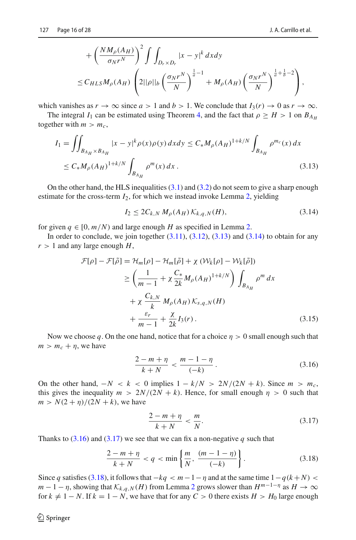$$
+\left(\frac{NM_{\rho}(A_H)}{\sigma_N r^N}\right)^2 \int \int_{D_r \times D_r} |x - y|^k dx dy
$$
  
\n
$$
\leq C_{HLS} M_{\rho}(A_H) \left(2||\rho||_b \left(\frac{\sigma_N r^N}{N}\right)^{\frac{1}{a}-1} + M_{\rho}(A_H) \left(\frac{\sigma_N r^N}{N}\right)^{\frac{1}{a}+\frac{1}{b}-2}\right),
$$

which vanishes as  $r \to \infty$  since  $a > 1$  and  $b > 1$ . We conclude that  $I_3(r) \to 0$  as  $r \to \infty$ .

The integral *I*<sub>1</sub> can be estimated using Theorem [4,](#page-8-3) and the fact that  $\rho \geq H > 1$  on  $B_{A_H}$ together with  $m > m_c$ ,

$$
I_{1} = \iint_{B_{A_{H}} \times B_{A_{H}}} |x - y|^{k} \rho(x) \rho(y) dx dy \le C_{*} M_{\rho}(A_{H})^{1 + k/N} \int_{B_{A_{H}}} \rho^{m_{c}}(x) dx
$$
  

$$
\le C_{*} M_{\rho}(A_{H})^{1 + k/N} \int_{B_{A_{H}}} \rho^{m}(x) dx.
$$
 (3.13)

On the other hand, the HLS inequalities  $(3.1)$  and  $(3.2)$  do not seem to give a sharp enough estimate for the cross-term *I*2, for which we instead invoke Lemma [2,](#page-11-0) yielding

<span id="page-15-1"></span><span id="page-15-0"></span> $I_2 \leq 2C_{k,N} M_{\rho}(A_H) K_{k,a,N}(H)$ , (3.14)

for given  $q \in [0, m/N)$  and large enough *H* as specified in Lemma [2.](#page-11-0)

In order to conclude, we join together  $(3.11)$ ,  $(3.12)$ ,  $(3.13)$  and  $(3.14)$  to obtain for any  $r > 1$  and any large enough  $H$ ,

$$
\mathcal{F}[\rho] - \mathcal{F}[\tilde{\rho}] = \mathcal{H}_m[\rho] - \mathcal{H}_m[\tilde{\rho}] + \chi \left( \mathcal{W}_k[\rho] - \mathcal{W}_k[\tilde{\rho}] \right)
$$
  
\n
$$
\geq \left( \frac{1}{m-1} + \chi \frac{C_*}{2k} M_\rho (A_H)^{1+k/N} \right) \int_{B_{A_H}} \rho^m dx
$$
  
\n
$$
+ \chi \frac{C_{k,N}}{k} M_\rho (A_H) K_{s,q,N}(H)
$$
  
\n
$$
+ \frac{\varepsilon_r}{m-1} + \frac{\chi}{2k} I_3(r).
$$
 (3.15)

Now we choose q. On the one hand, notice that for a choice  $\eta > 0$  small enough such that  $m > m_c + \eta$ , we have

<span id="page-15-5"></span><span id="page-15-2"></span>
$$
\frac{2-m+\eta}{k+N} < \frac{m-1-\eta}{(-k)}\,. \tag{3.16}
$$

On the other hand,  $-N < k < 0$  implies  $1 - k/N > 2N/(2N + k)$ . Since  $m > m_c$ , this gives the inequality  $m > 2N/(2N + k)$ . Hence, for small enough  $\eta > 0$  such that  $m > N(2 + \eta)/(2N + k)$ , we have

<span id="page-15-3"></span>
$$
\frac{2-m+\eta}{k+N} < \frac{m}{N}.\tag{3.17}
$$

Thanks to  $(3.16)$  and  $(3.17)$  we see that we can fix a non-negative q such that

<span id="page-15-4"></span>
$$
\frac{2-m+\eta}{k+N} < q < \min\left\{\frac{m}{N}, \frac{(m-1-\eta)}{(-k)}\right\}.\tag{3.18}
$$

Since *q* satisfies [\(3.18\)](#page-15-4), it follows that  $-kq < m-1-\eta$  and at the same time  $1-q(k+N)$  $m-1-\eta$ , showing that  $\mathcal{K}_{k,q,N}(H)$  from Lemma [2](#page-11-0) grows slower than  $H^{m-1-\eta}$  as  $H \to \infty$ for  $k \neq 1 - N$ . If  $k = 1 - N$ , we have that for any  $C > 0$  there exists  $H > H_0$  large enough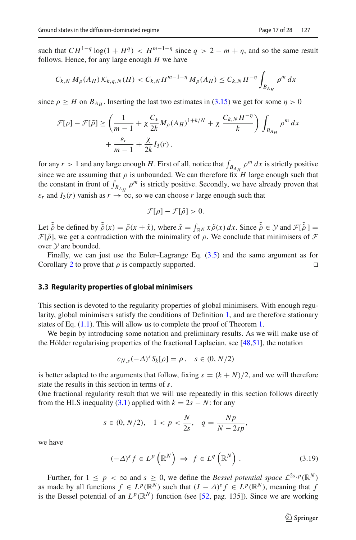such that  $CH^{1-q} \log(1 + H^q) < H^{m-1-\eta}$  since  $q > 2 - m + \eta$ , and so the same result follows. Hence, for any large enough *H* we have

$$
C_{k,N} M_{\rho}(A_H) K_{k,q,N}(H) < C_{k,N} H^{m-1-\eta} M_{\rho}(A_H) \le C_{k,N} H^{-\eta} \int_{B_{A_H}} \rho^m \, dx
$$

since  $\rho \geq H$  on  $B_{A_{H}}$ . Inserting the last two estimates in [\(3.15\)](#page-15-5) we get for some  $\eta > 0$ 

$$
\mathcal{F}[\rho] - \mathcal{F}[\tilde{\rho}] \ge \left(\frac{1}{m-1} + \chi \frac{C_*}{2k} M_{\rho}(A_H)^{1+k/N} + \chi \frac{C_{k,N} H^{-\eta}}{k}\right) \int_{B_{A_H}} \rho^m dx
$$
  
+ 
$$
\frac{\varepsilon_r}{m-1} + \frac{\chi}{2k} I_3(r).
$$

for any  $r > 1$  and any large enough *H*. First of all, notice that  $\int_{B_{A_H}} \rho^m dx$  is strictly positive since we are assuming that  $\rho$  is unbounded. We can therefore fix *H* large enough such that the constant in front of  $\int_{B_{A_H}} \rho^m$  is strictly positive. Secondly, we have already proven that  $\varepsilon_r$  and  $I_3(r)$  vanish as  $r \to \infty$ , so we can choose *r* large enough such that

$$
\mathcal{F}[\rho]-\mathcal{F}[\tilde{\rho}]>0.
$$

Let  $\tilde{\rho}$  be defined by  $\tilde{\rho}(x) = \tilde{\rho}(x + \tilde{x})$ , where  $\tilde{x} = \int_{\mathbb{R}^N} x \tilde{\rho}(x) dx$ . Since  $\tilde{\rho} \in \mathcal{Y}$  and  $\mathcal{F}[\tilde{\rho}] =$ *F*[ $\delta$ ], we get a contradiction with the minimality of  $\rho$ . We conclude that minimisers of *F* over *Y* are bounded.

Finally, we can just use the Euler–Lagrange Eq. [\(3.5\)](#page-11-1) and the same argument as for Corollary [2](#page-8-5) to prove that  $\rho$  is compactly supported.

## **3.3 Regularity properties of global minimisers**

This section is devoted to the regularity properties of global minimisers. With enough regularity, global minimisers satisfy the conditions of Definition [1,](#page-4-0) and are therefore stationary states of Eq. [\(1.1\)](#page-1-0). This will allow us to complete the proof of Theorem [1.](#page-2-0)

We begin by introducing some notation and preliminary results. As we will make use of the Hölder regularising properties of the fractional Laplacian, see [\[48](#page-27-4)[,51](#page-27-5)], the notation

$$
c_{N,s}(-\Delta)^s S_k[\rho] = \rho \,, \quad s \in (0, N/2)
$$

is better adapted to the arguments that follow, fixing  $s = (k + N)/2$ , and we will therefore state the results in this section in terms of *s*.

One fractional regularity result that we will use repeatedly in this section follows directly from the HLS inequality [\(3.1\)](#page-8-2) applied with  $k = 2s - N$ : for any

$$
s \in (0, N/2), \quad 1 < p < \frac{N}{2s}, \quad q = \frac{Np}{N - 2sp},
$$

we have

<span id="page-16-0"></span>
$$
(-\Delta)^s f \in L^p\left(\mathbb{R}^N\right) \implies f \in L^q\left(\mathbb{R}^N\right). \tag{3.19}
$$

Further, for  $1 \leq p < \infty$  and  $s \geq 0$ , we define the *Bessel potential space*  $\mathcal{L}^{2s,p}(\mathbb{R}^N)$ as made by all functions  $f \in L^p(\mathbb{R}^N)$  such that  $(I - \Delta)^s f \in L^p(\mathbb{R}^N)$ , meaning that *f* is the Bessel potential of an  $L^p(\mathbb{R}^N)$  function (see [\[52,](#page-27-6) pag. 135]). Since we are working

 $\circled{2}$  Springer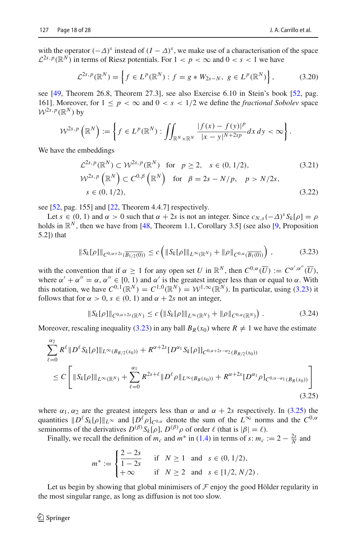<span id="page-17-2"></span>
$$
\mathcal{L}^{2s,p}(\mathbb{R}^N) = \left\{ f \in L^p(\mathbb{R}^N) : f = g * W_{2s-N}, \ g \in L^p(\mathbb{R}^N) \right\},\tag{3.20}
$$

see [\[49](#page-27-7), Theorem 26.8, Theorem 27.3], see also Exercise 6.10 in Stein's book [\[52](#page-27-6), pag. 161]. Moreover, for  $1 \leq p < \infty$  and  $0 < s < 1/2$  we define the *fractional Sobolev* space  $W^{2s,p}(\mathbb{R}^N)$  by

$$
\mathcal{W}^{2s,p}\left(\mathbb{R}^N\right):=\left\{f\in L^p(\mathbb{R}^N):\iint_{\mathbb{R}^N\times\mathbb{R}^N}\frac{|f(x)-f(y)|^p}{|x-y|^{N+2sp}}dx\,dy<\infty\right\}.
$$

We have the embeddings

<span id="page-17-3"></span>
$$
\mathcal{L}^{2s, p}(\mathbb{R}^{N}) \subset \mathcal{W}^{2s, p}(\mathbb{R}^{N}) \text{ for } p \ge 2, s \in (0, 1/2),
$$
\n
$$
\mathcal{W}^{2s, p}(\mathbb{R}^{N}) \subset C^{0, \beta}(\mathbb{R}^{N}) \text{ for } \beta = 2s - N/p, p > N/2s,
$$
\n
$$
s \in (0, 1/2),
$$
\n(3.22)

see [\[52](#page-27-6), pag. 155] and [\[22,](#page-26-23) Theorem 4.4.7] respectively.

Let  $s \in (0, 1)$  and  $\alpha > 0$  such that  $\alpha + 2s$  is not an integer. Since  $c_{N, s}(-\Delta)^s S_k[\rho] = \rho$ holds in  $\mathbb{R}^N$ , then we have from [\[48](#page-27-4), Theorem 1.1, Corollary 3.5] (see also [\[9](#page-25-9), Proposition 5.2]) that

<span id="page-17-0"></span>
$$
\|S_k[\rho]\|_{C^{0,\alpha+2s}(\overline{B_{1/2}(0)})} \le c \left( \|S_k[\rho]\|_{L^{\infty}(\mathbb{R}^N)} + \|\rho\|_{C^{0,\alpha}(\overline{B_1(0)})} \right),
$$
 (3.23)

with the convention that if  $\alpha \geq 1$  for any open set *U* in  $\mathbb{R}^N$ , then  $C^{0,\alpha}(\overline{U}) := C^{\alpha',\alpha''}(\overline{U})$ , where  $\alpha' + \alpha'' = \alpha$ ,  $\alpha'' \in [0, 1)$  and  $\alpha'$  is the greatest integer less than or equal to  $\alpha$ . With this notation, we have  $C^{0,1}(\mathbb{R}^N) = C^{1,0}(\mathbb{R}^N) = \mathcal{W}^{1,\infty}(\mathbb{R}^N)$ . In particular, using [\(3.23\)](#page-17-0) it follows that for  $\alpha > 0$ ,  $s \in (0, 1)$  and  $\alpha + 2s$  not an integer,

<span id="page-17-4"></span>
$$
||S_{k}[\rho]||_{C^{0,\alpha+2s}(\mathbb{R}^{N})} \leq c \left( ||S_{k}[\rho]||_{L^{\infty}(\mathbb{R}^{N})} + ||\rho||_{C^{0,\alpha}(\mathbb{R}^{N})} \right). \tag{3.24}
$$

Moreover, rescaling inequality [\(3.23\)](#page-17-0) in any ball  $B_R(x_0)$  where  $R \neq 1$  we have the estimate

<span id="page-17-1"></span>
$$
\sum_{\ell=0}^{\alpha_2} R^{\ell} \| D^{\ell} S_k[\rho] \|_{L^{\infty}(B_{R/2}(x_0))} + R^{\alpha+2s} [D^{\alpha_1} S_k[\rho]]_{C^{0,\alpha+2s-\alpha_2}(B_{R/2}(x_0))}
$$
  
\n
$$
\leq C \left[ \| S_k[\rho] \|_{L^{\infty}(\mathbb{R}^N)} + \sum_{\ell=0}^{\alpha_1} R^{2s+\ell} \| D^{\ell} \rho \|_{L^{\infty}(B_R(x_0))} + R^{\alpha+2s} [D^{\alpha_1} \rho]_{C^{0,\alpha-\alpha_1}(B_R(x_0))} \right]
$$
\n(3.25)

where  $\alpha_1, \alpha_2$  are the greatest integers less than  $\alpha$  and  $\alpha + 2s$  respectively. In [\(3.25\)](#page-17-1) the quantities  $||D^{\ell}S_k[\rho]||_{L^{\infty}}$  and  $[D^{\ell} \rho]_{C^{0,\alpha}}$  denote the sum of the  $L^{\infty}$  norms and the  $C^{0,\alpha}$ seminorms of the derivatives  $D^{(\beta)} S_k[\rho], D^{(\beta)} \rho$  of order  $\ell$  (that is  $|\beta| = \ell$ ).

Finally, we recall the definition of  $m_c$  and  $m^*$  in [\(1.4\)](#page-2-1) in terms of *s*:  $m_c := 2 - \frac{2s}{N}$  and

$$
m^* := \begin{cases} \frac{2-2s}{1-2s} & \text{if } N \ge 1 \text{ and } s \in (0, 1/2), \\ +\infty & \text{if } N \ge 2 \text{ and } s \in [1/2, N/2). \end{cases}
$$

<span id="page-17-5"></span>Let us begin by showing that global minimisers of  $\mathcal F$  enjoy the good Hölder regularity in the most singular range, as long as diffusion is not too slow.

 $\mathcal{L}$  Springer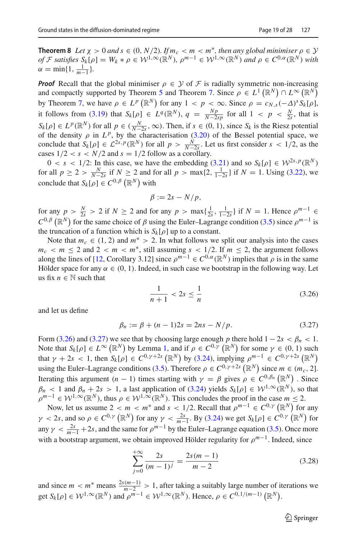**Theorem 8** *Let*  $\chi > 0$  *and*  $s \in (0, N/2)$ *. If*  $m_c < m < m^*$ *, then any global minimiser*  $\rho \in \mathcal{Y}$ *of F satisfies*  $S_k[\rho] = W_k * \rho \in \mathcal{W}^{1,\infty}(\mathbb{R}^N)$ ,  $\rho^{m-1} \in \mathcal{W}^{1,\infty}(\mathbb{R}^N)$  *and*  $\rho \in C^{0,\alpha}(\mathbb{R}^N)$  *with*  $\alpha = \min\{1, \frac{1}{m-1}\}.$ 

*Proof* Recall that the global minimiser  $\rho \in \mathcal{Y}$  of  $\mathcal{F}$  is radially symmetric non-increasing and compactly supported by Theorem [5](#page-8-1) and Theorem [7.](#page-13-0) Since  $\rho \in L^1(\mathbb{R}^N) \cap L^\infty(\mathbb{R}^N)$ by Theorem [7,](#page-13-0) we have  $\rho \in L^p(\mathbb{R}^N)$  for any  $1 < p < \infty$ . Since  $\rho = c_{N,s}(-\Delta)^s S_k[\rho],$ it follows from [\(3.19\)](#page-16-0) that  $S_k[\rho] \in L^q(\mathbb{R}^N)$ ,  $q = \frac{Np}{N-2sp}$  for all  $1 < p < \frac{N}{2s}$ , that is  $S_k[\rho] \in L^p(\mathbb{R}^N)$  for all  $p \in (\frac{N}{N-2s}, \infty)$ . Then, if  $s \in (0, 1)$ , since  $S_k$  is the Riesz potential of the density  $\rho$  in  $L^p$ , by the characterisation [\(3.20\)](#page-17-2) of the Bessel potential space, we conclude that  $S_k[\rho] \in \mathcal{L}^{2s,p}(\mathbb{R}^N)$  for all  $p > \frac{N}{N-2s}$ . Let us first consider  $s < 1/2$ , as the cases  $1/2 < s < N/2$  and  $s = 1/2$  follow as a corollary.

 $0 < s < 1/2$ : In this case, we have the embedding [\(3.21\)](#page-17-3) and so  $S_k[\rho] \in \mathcal{W}^{2s,p}(\mathbb{R}^N)$ for all  $p \ge 2 > \frac{N}{N-2s}$  if  $N \ge 2$  and for all  $p > \max\{2, \frac{1}{1-2s}\}\$  if  $N = 1$ . Using [\(3.22\)](#page-17-3), we conclude that  $S_k[\rho] \in C^{0,\beta}(\mathbb{R}^N)$  with

$$
\beta := 2s - N/p,
$$

for any  $p > \frac{N}{2s} > 2$  if  $N \ge 2$  and for any  $p > \max\{\frac{1}{2s}, \frac{1}{1-2s}\}\$  if  $N = 1$ . Hence  $\rho^{m-1} \in$  $C^{0,\beta}(\mathbb{R}^N)$  for the same choice of  $\beta$  using the Euler–Lagrange condition [\(3.5\)](#page-11-1) since  $\rho^{m-1}$  is the truncation of a function which is  $S_k[\rho]$  up to a constant.

Note that  $m_c \in (1, 2)$  and  $m^* > 2$ . In what follows we split our analysis into the cases  $m_c < m \leq 2$  and  $2 < m < m^*$ , still assuming  $s < 1/2$ . If  $m \leq 2$ , the argument follows along the lines of [\[12](#page-25-6), Corollary 3.12] since  $\rho^{m-1} \in C^{0,\alpha}(\mathbb{R}^N)$  implies that  $\rho$  is in the same Hölder space for any  $\alpha \in (0, 1)$ . Indeed, in such case we bootstrap in the following way. Let us fix  $n \in \mathbb{N}$  such that

<span id="page-18-0"></span>
$$
\frac{1}{n+1} < 2s \le \frac{1}{n} \tag{3.26}
$$

and let us define

<span id="page-18-1"></span>
$$
\beta_n := \beta + (n-1)2s = 2ns - N/p. \tag{3.27}
$$

Form [\(3.26\)](#page-18-0) and [\(3.27\)](#page-18-1) we see that by choosing large enough *p* there hold  $1 - 2s < \beta_n < 1$ . Note that  $S_k[\rho] \in L^{\infty}(\mathbb{R}^N)$  by Lemma [1,](#page-4-2) and if  $\rho \in C^{0,\gamma}(\mathbb{R}^N)$  for some  $\gamma \in (0,1)$  such that  $\gamma + 2s < 1$ , then  $S_k[\rho] \in C^{0, \gamma + 2s}(\mathbb{R}^N)$  by [\(3.24\)](#page-17-4), implying  $\rho^{m-1} \in C^{0, \gamma + 2s}(\mathbb{R}^N)$ using the Euler–Lagrange conditions [\(3.5\)](#page-11-1). Therefore  $\rho \in C^{0,\gamma+2s}(\mathbb{R}^N)$  since  $m \in (m_c, 2]$ . Iterating this argument  $(n - 1)$  times starting with  $\gamma = \beta$  gives  $\rho \in C^{0, \beta_n}(\mathbb{R}^N)$ . Since  $\beta_n < 1$  and  $\beta_n + 2s > 1$ , a last application of [\(3.24\)](#page-17-4) yields  $S_k[\rho] \in \mathcal{W}^{1,\infty}(\mathbb{R}^N)$ , so that  $\rho^{m-1} \in \mathcal{W}^{1,\infty}(\mathbb{R}^N)$ , thus  $\rho \in \mathcal{W}^{1,\infty}(\mathbb{R}^N)$ . This concludes the proof in the case  $m \leq 2$ .

Now, let us assume  $2 < m < m^*$  and  $s < 1/2$ . Recall that  $\rho^{m-1} \in C^{0,\gamma}(\mathbb{R}^N)$  for any  $\gamma$  < 2*s*, and so  $\rho \in C^{0,\gamma}(\mathbb{R}^N)$  for any  $\gamma < \frac{2s}{m-1}$ . By [\(3.24\)](#page-17-4) we get  $S_k[\rho] \in C^{0,\gamma}(\mathbb{R}^N)$  for any  $\gamma < \frac{2s}{m-1} + 2s$ , and the same for  $\rho^{m-1}$  by the Euler–Lagrange equation [\(3.5\)](#page-11-1). Once more with a bootstrap argument, we obtain improved Hölder regularity for ρ*m*−1. Indeed, since

<span id="page-18-2"></span>
$$
\sum_{j=0}^{+\infty} \frac{2s}{(m-1)^j} = \frac{2s(m-1)}{m-2}
$$
 (3.28)

and since  $m < m^*$  means  $\frac{2s(m-1)}{m-2} > 1$ , after taking a suitably large number of iterations we get  $S_k[\rho] \in \mathcal{W}^{1,\infty}(\mathbb{R}^N)$  and  $\rho^{m-1} \in \mathcal{W}^{1,\infty}(\mathbb{R}^N)$ . Hence,  $\rho \in C^{0,1/(m-1)}(\mathbb{R}^N)$ .

 $\mathcal{L}$  Springer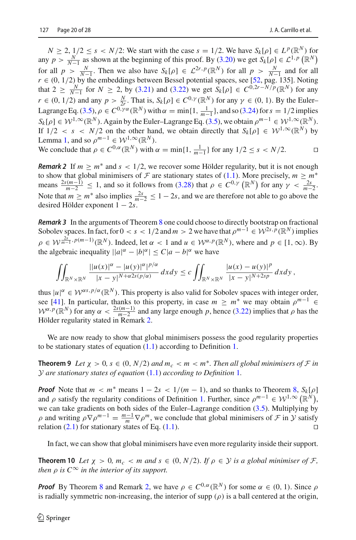$N \ge 2$ ,  $1/2 \le s < N/2$ : We start with the case  $s = 1/2$ . We have  $S_k[\rho] \in L^p(\mathbb{R}^N)$  for any  $p > \frac{N}{N-1}$  as shown at the beginning of this proof. By [\(3.20\)](#page-17-2) we get  $S_k[\rho] \in L^{1,p}(\mathbb{R}^N)$ for all  $p > \frac{N}{N-1}$ . Then we also have  $S_k[\rho] \in \mathcal{L}^{2r,p}(\mathbb{R}^N)$  for all  $p > \frac{N}{N-1}$  and for all  $p > \frac{N}{N-1}$ . Then we also have  $S_k[\rho] \in \mathcal{L}^{2r,p}(\mathbb{R}^N)$  for all  $p > \frac{N}{N-1}$ . Also  $r \in (0, 1/2)$  by the embeddings between Bessel potential spaces, see [\[52,](#page-27-6) pag. 135]. Noting that  $2 \ge \frac{N}{N-1}$  for  $N \ge 2$ , by [\(3.21\)](#page-17-3) and [\(3.22\)](#page-17-3) we get  $S_k[\rho] \in C^{0,2r-N/p}(\mathbb{R}^N)$  for any  $r \in (0, 1/2)$  and any  $p > \frac{N}{2r}$ . That is,  $S_k[\rho] \in C^{0,\gamma}(\mathbb{R}^N)$  for any  $\gamma \in (0, 1)$ . By the Euler– Lagrange Eq. [\(3.5\)](#page-11-1),  $\rho \in C^{0,\gamma\alpha}(\mathbb{R}^N)$  with  $\alpha = \min\{1, \frac{1}{m-1}\}\$ , and so [\(3.24\)](#page-17-4) for  $s = 1/2$  implies  $S_k[\rho] \in \mathcal{W}^{1,\infty}(\mathbb{R}^N)$ . Again by the Euler–Lagrange Eq. [\(3.5\)](#page-11-1), we obtain  $\rho^{m-1} \in \mathcal{W}^{1,\infty}(\mathbb{R}^N)$ . If  $1/2 < s < N/2$  on the other hand, we obtain directly that  $S_k[\rho] \in \mathcal{W}^{1,\infty}(\mathbb{R}^N)$  by Lemma [1,](#page-4-2) and so  $\rho^{m-1} \in \mathcal{W}^{1,\infty}(\mathbb{R}^N)$ .

We conclude that 
$$
\rho \in C^{0,\alpha}(\mathbb{R}^N)
$$
 with  $\alpha = \min\{1, \frac{1}{m-1}\}\$ for any  $1/2 \leq s < N/2$ .

<span id="page-19-1"></span>*Remark 2* If  $m \ge m^*$  and  $s < 1/2$ , we recover some Hölder regularity, but it is not enough to show that global minimisers of  $\mathcal F$  are stationary states of [\(1.1\)](#page-1-0). More precisely,  $m \geq m^*$ means  $\frac{2s(m-1)}{m-2} \le 1$ , and so it follows from [\(3.28\)](#page-18-2) that  $\rho \in C^{0,\gamma}(\mathbb{R}^N)$  for any  $\gamma < \frac{2s}{m-2}$ . Note that  $m \ge m^*$  also implies  $\frac{2s}{m-2} \le 1-2s$ , and we are therefore not able to go above the desired Hölder exponent 1 − 2*s*.

**Remark 3** In the arguments of Theorem [8](#page-17-5) one could choose to directly bootstrap on fractional Sobolev spaces. In fact, for  $0 < s < 1/2$  and  $m > 2$  we have that  $\rho^{m-1} \in \mathcal{W}^{2s,p}(\mathbb{R}^N)$  implies  $\rho \in \mathcal{W}^{\frac{2s}{m-1}, p(m-1)}(\mathbb{R}^N)$ . Indeed, let  $\alpha < 1$  and  $u \in \mathcal{W}^{\alpha, p}(\mathbb{R}^N)$ , where and  $p \in [1, \infty)$ . By the algebraic inequality  $||a|^{\alpha} - |b|^{\alpha}| \leq C|a - b|^{\alpha}$  we have

$$
\iint_{\mathbb{R}^N\times\mathbb{R}^N}\frac{||u(x)|^\alpha-|u(y)|^\alpha|^{p/\alpha}}{|x-y|^{N+\alpha 2s(p/\alpha)}}\,dxdy\leq c\iint_{\mathbb{R}^N\times\mathbb{R}^N}\frac{|u(x)-u(y)|^p}{|x-y|^{N+2sp}}\,dxdy,
$$

thus  $|u|^{\alpha} \in \mathcal{W}^{\alpha s, p/\alpha}(\mathbb{R}^N)$ . This property is also valid for Sobolev spaces with integer order, see [\[41](#page-26-24)]. In particular, thanks to this property, in case  $m \ge m^*$  we may obtain  $\rho^{m-1} \in$  $W^{\alpha,p}(\mathbb{R}^N)$  for any  $\alpha < \frac{2s(m-1)}{m-2}$  and any large enough *p*, hence [\(3.22\)](#page-17-3) implies that  $\rho$  has the Hölder regularity stated in Remark [2.](#page-19-1)

<span id="page-19-2"></span>We are now ready to show that global minimisers possess the good regularity properties to be stationary states of equation [\(1.1\)](#page-1-0) according to Definition [1.](#page-4-0)

**Theorem 9** Let  $\chi > 0$ ,  $s \in (0, N/2)$  and  $m_c < m < m^*$ . Then all global minimisers of F in *Y are stationary states of equation* [\(1.1\)](#page-1-0) *according to Definition* [1](#page-4-0)*.*

*Proof* Note that  $m < m^*$  means  $1 - 2s < 1/(m - 1)$ , and so thanks to Theorem [8,](#page-17-5)  $S_k[\rho]$ and  $\rho$  satisfy the regularity conditions of Definition [1.](#page-4-0) Further, since  $\rho^{m-1} \in W^{1,\infty}(\mathbb{R}^N)$ , we can take gradients on both sides of the Euler–Lagrange condition [\(3.5\)](#page-11-1). Multiplying by  $ρ$  and writing  $ρ∇ρ<sup>m-1</sup> =  $\frac{m-1}{m}∇ρ<sup>m</sup>$ , we conclude that global minimisers of *F* in *Y* satisfy$ relation [\(2.1\)](#page-4-4) for stationary states of Eq. [\(1.1\)](#page-1-0).

<span id="page-19-0"></span>In fact, we can show that global minimisers have even more regularity inside their support.

**Theorem 10** *Let*  $\chi > 0$ *,*  $m_c < m$  *and*  $s \in (0, N/2)$ *. If*  $\rho \in \mathcal{Y}$  *is a global minimiser of F, then*  $\rho$  *is*  $C^{\infty}$  *in the interior of its support.* 

*Proof* By Theorem [8](#page-17-5) and Remark [2,](#page-19-1) we have  $\rho \in C^{0,\alpha}(\mathbb{R}^N)$  for some  $\alpha \in (0, 1)$ . Since  $\rho$ is radially symmetric non-increasing, the interior of supp  $(\rho)$  is a ball centered at the origin,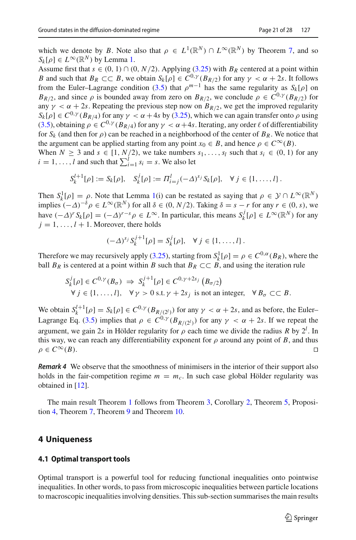which we denote by *B*. Note also that  $\rho \in L^1(\mathbb{R}^N) \cap L^\infty(\mathbb{R}^N)$  by Theorem [7,](#page-13-0) and so  $S_k[\rho] \in L^{\infty}(\mathbb{R}^N)$  by Lemma [1.](#page-4-2)

Assume first that  $s \in (0, 1) \cap (0, N/2)$ . Applying [\(3.25\)](#page-17-1) with  $B_R$  centered at a point within *B* and such that  $B_R \subset\subset B$ , we obtain  $S_k[\rho] \in C^{0,\gamma}(B_{R/2})$  for any  $\gamma < \alpha + 2s$ . It follows from the Euler–Lagrange condition [\(3.5\)](#page-11-1) that  $\rho^{m-1}$  has the same regularity as *S<sub>k</sub>*[ρ] on  $B_{R/2}$ , and since  $\rho$  is bounded away from zero on  $B_{R/2}$ , we conclude  $\rho \in C^{0,\gamma}(B_{R/2})$  for any  $\gamma < \alpha + 2s$ . Repeating the previous step now on  $B_{R/2}$ , we get the improved regularity  $S_k[\rho] \in C^{0,\gamma}(B_{R/4})$  for any  $\gamma < \alpha + 4s$  by [\(3.25\)](#page-17-1), which we can again transfer onto  $\rho$  using [\(3.5\)](#page-11-1), obtaining  $\rho \in C^{0,\gamma}(B_{R/4})$  for any  $\gamma < \alpha + 4s$ . Iterating, any order  $\ell$  of differentiability for  $S_k$  (and then for  $\rho$ ) can be reached in a neighborhood of the center of  $B_R$ . We notice that the argument can be applied starting from any point  $x_0 \in B$ , and hence  $\rho \in C^{\infty}(B)$ . When  $N \ge 3$  and  $s \in [1, N/2)$ , we take numbers  $s_1, \ldots, s_l$  such that  $s_i \in (0, 1)$  for any

 $i = 1, \ldots, l$  and such that  $\sum_{i=1}^{l} s_i = s$ . We also let

$$
S_k^{l+1}[\rho] := S_k[\rho], \quad S_k^j[\rho] := \Pi_{i=j}^l (-\Delta)^{s_j} S_k[\rho], \quad \forall j \in \{1, ..., l\}.
$$

Then  $S_k^1[\rho] = \rho$ . Note that Lemma [1\(](#page-4-2)i) can be restated as saying that  $\rho \in \mathcal{Y} \cap L^{\infty}(\mathbb{R}^N)$ implies  $(-\Delta)^{-\delta} \rho \in L^{\infty}(\mathbb{R}^N)$  for all  $\delta \in (0, N/2)$ . Taking  $\delta = s - r$  for any  $r \in (0, s)$ , we have  $(-\Delta)^r S_k[\rho] = (-\Delta)^{r-s} \rho \in L^{\infty}$ . In particular, this means  $S_k^j[\rho] \in L^{\infty}(\mathbb{R}^N)$  for any  $j = 1, \ldots, l + 1$ . Moreover, there holds

$$
(-\Delta)^{s_j} S_k^{j+1}[\rho] = S_k^j[\rho], \quad \forall j \in \{1, \ldots, l\}.
$$

Therefore we may recursively apply [\(3.25\)](#page-17-1), starting from  $S_k^1[\rho] = \rho \in C^{0,\alpha}(B_R)$ , where the ball  $B_R$  is centered at a point within *B* such that  $B_R \subset\subset B$ , and using the iteration rule

$$
S_k^j[\rho] \in C^{0,\gamma}(B_{\sigma}) \implies S_k^{j+1}[\rho] \in C^{0,\gamma+2s_j} (B_{\sigma/2})
$$
  

$$
\forall j \in \{1, ..., l\}, \quad \forall \gamma > 0 \text{ s.t. } \gamma + 2s_j \text{ is not an integer}, \quad \forall B_{\sigma} \subset\subset B.
$$

We obtain  $S_k^{l+1}[\rho] = S_k[\rho] \in C^{0,\gamma}(B_{R/(2^l)})$  for any  $\gamma < \alpha + 2s$ , and as before, the Euler– Lagrange Eq. [\(3.5\)](#page-11-1) implies that  $\rho \in C^{0,\gamma}(B_{R/(2)})$  for any  $\gamma < \alpha + 2s$ . If we repeat the argument, we gain 2*s* in Hölder regularity for  $\rho$  each time we divide the radius *R* by  $2^l$ . In this way, we can reach any differentiability exponent for  $\rho$  around any point of *B*, and thus  $\rho \in C^{\infty}(B)$ .

*Remark 4* We observe that the smoothness of minimisers in the interior of their support also holds in the fair-competition regime  $m = m_c$ . In such case global Hölder regularity was obtained in [\[12\]](#page-25-6).

The main result Theorem [1](#page-2-0) follows from Theorem [3,](#page-5-2) Corollary [2,](#page-8-5) Theorem [5,](#page-8-1) Proposition [4,](#page-10-0) Theorem [7,](#page-13-0) Theorem [9](#page-19-2) and Theorem [10.](#page-19-0)

## <span id="page-20-0"></span>**4 Uniqueness**

#### **4.1 Optimal transport tools**

Optimal transport is a powerful tool for reducing functional inequalities onto pointwise inequalities. In other words, to pass from microscopic inequalities between particle locations to macroscopic inequalities involving densities. This sub-section summarises the main results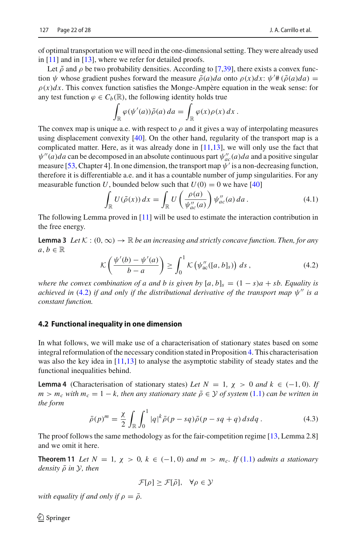of optimal transportation we will need in the one-dimensional setting. They were already used in [\[11\]](#page-25-10) and in [\[13](#page-25-7)], where we refer for detailed proofs.

Let  $\tilde{\rho}$  and  $\rho$  be two probability densities. According to [\[7](#page-25-11)[,39](#page-26-25)], there exists a convex function  $\psi$  whose gradient pushes forward the measure  $\tilde{\rho}(a)da$  onto  $\rho(x)dx$ :  $\psi'$  # $(\tilde{\rho}(a)da)$  =  $\rho(x)dx$ . This convex function satisfies the Monge-Ampère equation in the weak sense: for any test function  $\varphi \in C_b(\mathbb{R})$ , the following identity holds true

$$
\int_{\mathbb{R}} \varphi(\psi'(a)) \tilde{\rho}(a) da = \int_{\mathbb{R}} \varphi(x) \rho(x) dx.
$$

The convex map is unique a.e. with respect to  $\rho$  and it gives a way of interpolating measures using displacement convexity [\[40\]](#page-26-26). On the other hand, regularity of the transport map is a complicated matter. Here, as it was already done in  $[11,13]$  $[11,13]$  $[11,13]$ , we will only use the fact that  $\psi''(a)da$  can be decomposed in an absolute continuous part  $\psi''_{ac}(a)da$  and a positive singular measure [\[53,](#page-27-8) Chapter 4]. In one dimension, the transport map  $\psi'$  is a non-decreasing function, therefore it is differentiable a.e. and it has a countable number of jump singularities. For any measurable function *U*, bounded below such that  $U(0) = 0$  we have [\[40\]](#page-26-26)

<span id="page-21-1"></span>
$$
\int_{\mathbb{R}} U(\tilde{\rho}(x)) dx = \int_{\mathbb{R}} U\left(\frac{\rho(a)}{\psi''_{ac}(a)}\right) \psi''_{ac}(a) da.
$$
\n(4.1)

<span id="page-21-3"></span>The following Lemma proved in [\[11](#page-25-10)] will be used to estimate the interaction contribution in the free energy.

**Lemma 3** *Let*  $K : (0, \infty) \to \mathbb{R}$  *be an increasing and strictly concave function. Then, for any*  $a, b \in \mathbb{R}$ 

<span id="page-21-0"></span>
$$
\mathcal{K}\left(\frac{\psi'(b)-\psi'(a)}{b-a}\right) \ge \int_0^1 \mathcal{K}\left(\psi''_{ac}([a,b]_s)\right) ds ,\qquad (4.2)
$$

*where the convex combination of a and b is given by*  $[a, b]_s = (1 - s)a + sb$ . Equality is *achieved in* [\(4.2\)](#page-21-0) *if and only if the distributional derivative of the transport map*  $\psi''$  *is a constant function.*

#### **4.2 Functional inequality in one dimension**

In what follows, we will make use of a characterisation of stationary states based on some integral reformulation of the necessary condition stated in Proposition [4.](#page-10-0) This characterisation was also the key idea in [\[11](#page-25-10)[,13\]](#page-25-7) to analyse the asymptotic stability of steady states and the functional inequalities behind.

<span id="page-21-2"></span>**Lemma 4** (Characterisation of stationary states) *Let*  $N = 1$ ,  $\chi > 0$  *and*  $k \in (-1, 0)$ *. If*  $m > m_c$  *with*  $m_c = 1 - k$ , then any stationary state  $\bar{\rho} \in \mathcal{Y}$  of system [\(1.1\)](#page-1-0) *can be written in the form*

<span id="page-21-4"></span>
$$
\bar{\rho}(p)^m = \frac{\chi}{2} \int_{\mathbb{R}} \int_0^1 |q|^k \bar{\rho}(p - sq) \bar{\rho}(p - sq + q) ds dq.
$$
 (4.3)

<span id="page-21-5"></span>The proof follows the same methodology as for the fair-competition regime [\[13,](#page-25-7) Lemma 2.8] and we omit it here.

**Theorem 11** Let  $N = 1$ ,  $\chi > 0$ ,  $k \in (-1, 0)$  and  $m > m_c$ . If [\(1.1\)](#page-1-0) admits a stationary *density* ρ¯ *in Y, then*

$$
\mathcal{F}[\rho] \ge \mathcal{F}[\bar{\rho}], \quad \forall \rho \in \mathcal{Y}
$$

*with equality if and only if*  $\rho = \overline{\rho}$ *.* 

 $\mathcal{L}$  Springer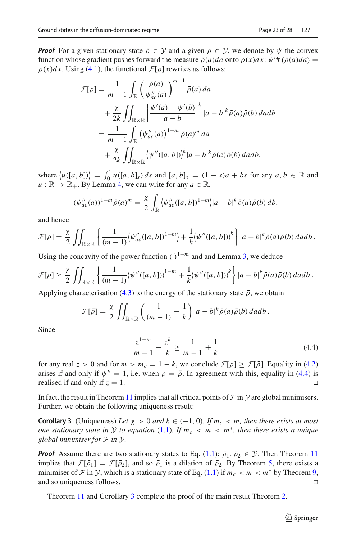*Proof* For a given stationary state  $\overline{\rho} \in \mathcal{Y}$  and a given  $\rho \in \mathcal{Y}$ , we denote by  $\psi$  the convex function whose gradient pushes forward the measure  $\bar{\rho}(a)da$  onto  $\rho(x)dx$ :  $\psi'$  # $(\bar{\rho}(a)da)$  =  $\rho(x)dx$ . Using [\(4.1\)](#page-21-1), the functional  $\mathcal{F}[\rho]$  rewrites as follows:

$$
\mathcal{F}[\rho] = \frac{1}{m-1} \int_{\mathbb{R}} \left( \frac{\bar{\rho}(a)}{\psi_{ac}^{\prime\prime}(a)} \right)^{m-1} \bar{\rho}(a) da
$$
  
+ 
$$
\frac{\chi}{2k} \iint_{\mathbb{R} \times \mathbb{R}} \left| \frac{\psi^{\prime}(a) - \psi^{\prime}(b)}{a - b} \right|^{k} |a - b|^{k} \bar{\rho}(a) \bar{\rho}(b) da db
$$
  
= 
$$
\frac{1}{m-1} \int_{\mathbb{R}} (\psi_{ac}^{\prime\prime}(a))^{1-m} \bar{\rho}(a)^{m} da
$$
  
+ 
$$
\frac{\chi}{2k} \iint_{\mathbb{R} \times \mathbb{R}} \left\langle \psi^{\prime\prime}([a, b]) \right\rangle^{k} |a - b|^{k} \bar{\rho}(a) \bar{\rho}(b) da db,
$$

 $w = \langle u([a, b]) \rangle = \int_0^1 u([a, b]_s) \, ds$  and  $[a, b]_s = (1 - s)a + bs$  for any  $a, b \in \mathbb{R}$  and  $u : \mathbb{R} \to \mathbb{R}_+$ . By Lemma [4,](#page-21-2) we can write for any  $a \in \mathbb{R}$ ,

$$
(\psi''_{ac}(a))^{1-m} \bar{\rho}(a)^m = \frac{\chi}{2} \int_{\mathbb{R}} \langle \psi''_{ac}([a,b])^{1-m} \rangle |a-b|^k \bar{\rho}(a) \bar{\rho}(b) db,
$$

and hence

$$
\mathcal{F}[\rho] = \frac{\chi}{2} \iint_{\mathbb{R} \times \mathbb{R}} \left\{ \frac{1}{(m-1)} \langle \psi_{ac}''([a,b])^{1-m} \rangle + \frac{1}{k} \langle \psi''([a,b]) \rangle^k \right\} |a-b|^k \bar{\rho}(a) \bar{\rho}(b) \, da \, db \, .
$$

Using the concavity of the power function  $(\cdot)^{1-m}$  and and Lemma [3,](#page-21-3) we deduce

$$
\mathcal{F}[\rho] \geq \frac{\chi}{2} \iint_{\mathbb{R} \times \mathbb{R}} \left\{ \frac{1}{(m-1)} \langle \psi''([a,b]) \rangle^{1-m} + \frac{1}{k} \langle \psi''([a,b]) \rangle^k \right\} |a-b|^k \bar{\rho}(a) \bar{\rho}(b) \, da db \, .
$$

Applying characterisation [\(4.3\)](#page-21-4) to the energy of the stationary state  $\bar{\rho}$ , we obtain

$$
\mathcal{F}[\bar{\rho}] = \frac{\chi}{2} \iint_{\mathbb{R} \times \mathbb{R}} \left( \frac{1}{(m-1)} + \frac{1}{k} \right) |a-b|^k \bar{\rho}(a) \bar{\rho}(b) \, da db \, .
$$

Since

<span id="page-22-0"></span>
$$
\frac{z^{1-m}}{m-1} + \frac{z^k}{k} \ge \frac{1}{m-1} + \frac{1}{k}
$$
 (4.4)

for any real  $z > 0$  and for  $m > m_c = 1 - k$ , we conclude  $\mathcal{F}[\rho] \ge \mathcal{F}[\bar{\rho}]$ . Equality in [\(4.2\)](#page-21-0) arises if and only if  $\psi'' = 1$ , i.e. when  $\rho = \bar{\rho}$ . In agreement with this, equality in [\(4.4\)](#page-22-0) is realised if and only if  $z = 1$ . realised if and only if  $z = 1$ .

<span id="page-22-1"></span>In fact, the result in Theorem [11](#page-21-5) implies that all critical points of  $\mathcal F$  in  $\mathcal Y$  are global minimisers. Further, we obtain the following uniqueness result:

**Corollary 3** (Uniqueness) *Let*  $\chi > 0$  *and*  $k \in (-1, 0)$ *. If*  $m_c < m$ *, then there exists at most one stationary state in Y to equation* [\(1.1\)](#page-1-0)*. If*  $m_c < m < m^*$ *, then there exists a unique global minimiser for F in Y.*

*Proof* Assume there are two stationary states to Eq. [\(1.1\)](#page-1-0):  $\bar{\rho}_1$ ,  $\bar{\rho}_2 \in \mathcal{Y}$ . Then Theorem [11](#page-21-5) implies that  $\mathcal{F}[\bar{\rho}_1] = \mathcal{F}[\bar{\rho}_2]$ , and so  $\bar{\rho}_1$  is a dilation of  $\bar{\rho}_2$ . By Theorem [5,](#page-8-1) there exists a minimiser of *F* in *Y*, which is a stationary state of Eq. [\(1.1\)](#page-1-0) if  $m_c < m < m^*$  by Theorem [9,](#page-19-2) and so uniqueness follows. and so uniqueness follows.

Theorem [11](#page-21-5) and Corollary [3](#page-22-1) complete the proof of the main result Theorem [2.](#page-2-2)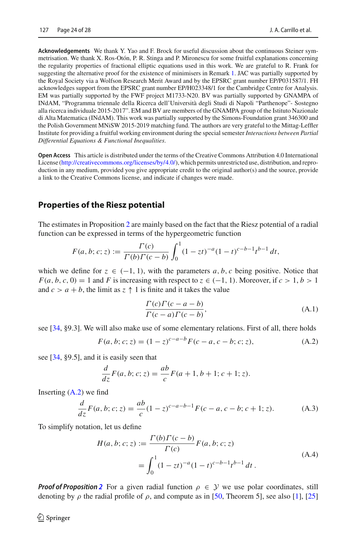**Acknowledgements** We thank Y. Yao and F. Brock for useful discussion about the continuous Steiner symmetrisation. We thank X. Ros-Otón, P. R. Stinga and P. Mironescu for some fruitful explanations concerning the regularity properties of fractional elliptic equations used in this work. We are grateful to R. Frank for suggesting the alternative proof for the existence of minimisers in Remark [1.](#page-10-1) JAC was partially supported by the Royal Society via a Wolfson Research Merit Award and by the EPSRC grant number EP/P031587/1. FH acknowledges support from the EPSRC grant number EP/H023348/1 for the Cambridge Centre for Analysis. EM was partially supported by the FWF project M1733-N20. BV was partially supported by GNAMPA of INdAM, "Programma triennale della Ricerca dell'Università degli Studi di Napoli "Parthenope"- Sostegno alla ricerca individuale 2015-2017". EM and BV are members of the GNAMPA group of the Istituto Nazionale di Alta Matematica (INdAM). This work was partially supported by the Simons-Foundation grant 346300 and the Polish Government MNiSW 2015-2019 matching fund. The authors are very grateful to the Mittag-Leffler Institute for providing a fruitful working environment during the special semester *Interactions between Partial Differential Equations & Functional Inequalities*.

**Open Access** This article is distributed under the terms of the Creative Commons Attribution 4.0 International License [\(http://creativecommons.org/licenses/by/4.0/\)](http://creativecommons.org/licenses/by/4.0/), which permits unrestricted use, distribution, and reproduction in any medium, provided you give appropriate credit to the original author(s) and the source, provide a link to the Creative Commons license, and indicate if changes were made.

# <span id="page-23-0"></span>**Properties of the Riesz potential**

The estimates in Proposition [2](#page-7-0) are mainly based on the fact that the Riesz potential of a radial function can be expressed in terms of the hypergeometric function

$$
F(a, b; c; z) := \frac{\Gamma(c)}{\Gamma(b)\Gamma(c - b)} \int_0^1 (1 - zt)^{-a} (1 - t)^{c - b - 1} t^{b - 1} dt,
$$

which we define for  $z \in (-1, 1)$ , with the parameters a, b, c being positive. Notice that  $F(a, b, c, 0) = 1$  and *F* is increasing with respect to  $z \in (-1, 1)$ . Moreover, if  $c > 1, b > 1$ and  $c > a + b$ , the limit as  $z \uparrow 1$  is finite and it takes the value

$$
\frac{\Gamma(c)\Gamma(c-a-b)}{\Gamma(c-a)\Gamma(c-b)},
$$
\n(A.1)

see [\[34](#page-26-27), §9.3]. We will also make use of some elementary relations. First of all, there holds

$$
F(a, b; c; z) = (1 - z)^{c-a-b} F(c - a, c - b; c; z),
$$
\n(A.2)

see [\[34](#page-26-27), §9.5], and it is easily seen that

$$
\frac{d}{dz}F(a, b; c; z) = \frac{ab}{c}F(a + 1, b + 1; c + 1; z).
$$

Inserting  $(A.2)$  we find

$$
\frac{d}{dz}F(a,b;c;z) = \frac{ab}{c}(1-z)^{c-a-b-1}F(c-a,c-b;c+1;z).
$$
 (A.3)

To simplify notation, let us define

$$
H(a, b; c; z) := \frac{\Gamma(b)\Gamma(c - b)}{\Gamma(c)} F(a, b; c; z)
$$
  
= 
$$
\int_0^1 (1 - zt)^{-a} (1 - t)^{c - b - 1} t^{b - 1} dt.
$$
 (A.4)

*Proof of Proposition* [2](#page-7-0) For a given radial function  $\rho \in \mathcal{Y}$  we use polar coordinates, still denoting by  $\rho$  the radial profile of  $\rho$ , and compute as in [\[50](#page-27-3), Theorem 5], see also [\[1](#page-25-12)], [\[25\]](#page-26-28)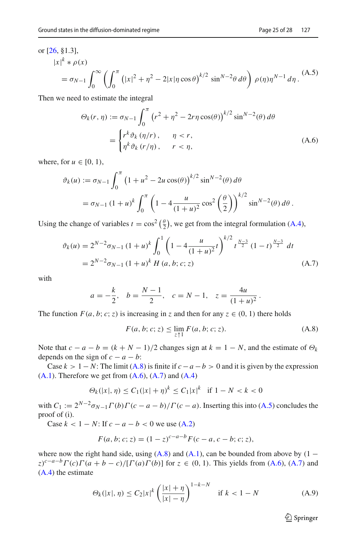#### or [\[26](#page-26-29), §1.3],

<span id="page-24-3"></span>
$$
|x|^k * \rho(x)
$$
  
=  $\sigma_{N-1} \int_0^\infty \left( \int_0^\pi \left( |x|^2 + \eta^2 - 2|x| \eta \cos \theta \right)^{k/2} \sin^{N-2} \theta \, d\theta \right) \rho(\eta) \eta^{N-1} d\eta.$  (A.5)

Then we need to estimate the integral

<span id="page-24-1"></span>
$$
\Theta_k(r,\eta) := \sigma_{N-1} \int_0^{\pi} \left(r^2 + \eta^2 - 2r\eta \cos(\theta)\right)^{k/2} \sin^{N-2}(\theta) d\theta
$$

$$
= \begin{cases} r^k \vartheta_k(\eta/r), & \eta < r, \\ \eta^k \vartheta_k(r/\eta), & r < \eta, \end{cases}
$$
(A.6)

where, for  $u \in [0, 1)$ ,

$$
\vartheta_k(u) := \sigma_{N-1} \int_0^{\pi} \left( 1 + u^2 - 2u \cos(\theta) \right)^{k/2} \sin^{N-2}(\theta) d\theta
$$
  
=  $\sigma_{N-1} (1 + u)^k \int_0^{\pi} \left( 1 - 4 \frac{u}{(1 + u)^2} \cos^2 \left( \frac{\theta}{2} \right) \right)^{k/2} \sin^{N-2}(\theta) d\theta.$ 

Using the change of variables  $t = \cos^2(\frac{\theta}{2})$ , we get from the integral formulation [\(A.4\)](#page-2-1),

$$
\vartheta_k(u) = 2^{N-2} \sigma_{N-1} (1+u)^k \int_0^1 \left( 1 - 4 \frac{u}{(1+u)^2} t \right)^{k/2} t^{\frac{N-3}{2}} (1-t)^{\frac{N-3}{2}} dt
$$
  
=  $2^{N-2} \sigma_{N-1} (1+u)^k H(a, b; c; z)$  (A.7)

with

$$
a = -\frac{k}{2}
$$
,  $b = \frac{N-1}{2}$ ,  $c = N-1$ ,  $z = \frac{4u}{(1+u)^2}$ .

The function  $F(a, b; c; z)$  is increasing in *z* and then for any  $z \in (0, 1)$  there holds

<span id="page-24-2"></span><span id="page-24-0"></span>
$$
F(a, b; c; z) \le \lim_{z \uparrow 1} F(a, b; c; z).
$$
 (A.8)

Note that  $c - a - b = (k + N - 1)/2$  changes sign at  $k = 1 - N$ , and the estimate of  $\Theta_k$ depends on the sign of  $c - a - b$ :

Case  $k > 1 - N$ : The limit [\(A.8\)](#page-24-0) is finite if  $c - a - b > 0$  and it is given by the expression  $(A.1)$ . Therefore we get from  $(A.6)$ ,  $(A.7)$  and  $(A.4)$ 

$$
\Theta_k(|x|, \eta) \le C_1(|x| + \eta)^k \le C_1|x|^k \quad \text{if } 1 - N < k < 0
$$

with  $C_1 := 2^{N-2} \sigma_{N-1} \Gamma(b) \Gamma(c - a - b) / \Gamma(c - a)$ . Inserting this into [\(A.5\)](#page-24-3) concludes the proof of (i).

Case  $k < 1 - N$ : If  $c - a - b < 0$  we use [\(A.2\)](#page-1-2)

$$
F(a, b; c; z) = (1 - z)^{c - a - b} F(c - a, c - b; c; z),
$$

where now the right hand side, using  $(A.8)$  and  $(A.1)$ , can be bounded from above by  $(1 (z)^{c-a-b} \Gamma(c) \Gamma(a+b-c) / [\Gamma(a) \Gamma(b)]$  for  $z \in (0, 1)$ . This yields from [\(A.6\)](#page-24-1), [\(A.7\)](#page-24-2) and [\(A.4\)](#page-2-1) the estimate

<span id="page-24-4"></span>
$$
\Theta_k(|x|, \eta) \le C_2 |x|^k \left(\frac{|x| + \eta}{|x| - \eta}\right)^{1 - k - N} \quad \text{if } k < 1 - N \tag{A.9}
$$

<sup>2</sup> Springer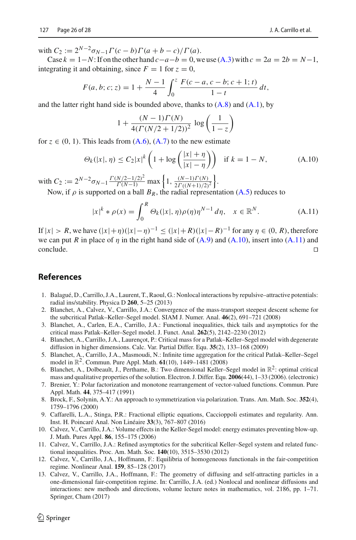with  $C_2 := 2^{N-2} \sigma_{N-1} \Gamma(c-b) \Gamma(a+b-c) / \Gamma(a)$ .

Case  $k = 1 - N$ : If on the other hand  $c - a - b = 0$ , we use [\(A.3\)](#page-1-1) with  $c = 2a = 2b = N-1$ , integrating it and obtaining, since  $F = 1$  for  $z = 0$ ,

$$
F(a, b; c; z) = 1 + \frac{N-1}{4} \int_0^z \frac{F(c-a, c-b; c+1; t)}{1-t} dt,
$$

and the latter right hand side is bounded above, thanks to  $(A.8)$  and  $(A.1)$ , by

$$
1 + \frac{(N-1)\Gamma(N)}{4(\Gamma(N/2+1/2))^2} \log\left(\frac{1}{1-z}\right)
$$

for  $z \in (0, 1)$ . This leads from  $(A.6)$ ,  $(A.7)$  to the new estimate

<span id="page-25-13"></span>
$$
\Theta_k(|x|, \eta) \le C_2 |x|^k \left(1 + \log\left(\frac{|x| + \eta}{|x| - \eta}\right)\right) \quad \text{if } k = 1 - N,\tag{A.10}
$$

with  $C_2 := 2^{N-2} \sigma_{N-1} \frac{\Gamma(N/2 - 1/2)^2}{\Gamma(N-1)} \max\left\{1, \frac{(N-1)\Gamma(N)}{2\Gamma((N+1)/2)^2}\right\}.$ 

Now, if  $\rho$  is supported on a ball  $B_R$ , the radial representation [\(A.5\)](#page-24-3) reduces to

<span id="page-25-14"></span>
$$
|x|^{k} * \rho(x) = \int_{0}^{R} \Theta_{k}(|x|, \eta) \rho(\eta) \eta^{N-1} d\eta, \quad x \in \mathbb{R}^{N}.
$$
 (A.11)

If <sup>|</sup>*x*<sup>|</sup> <sup>&</sup>gt; *<sup>R</sup>*, we have (|*x*|+η)(|*x*|−η)−<sup>1</sup> <sup>≤</sup> (|*x*|+ *<sup>R</sup>*)(|*x*|− *<sup>R</sup>*)−<sup>1</sup> for any <sup>η</sup> <sup>∈</sup> (0, *<sup>R</sup>*), therefore we can put *R* in place of  $\eta$  in the right hand side of  $(A.9)$  and  $(A.10)$ , insert into  $(A.11)$  and  $\Box$ conclude.

# **References**

- <span id="page-25-12"></span>1. Balagué, D., Carrillo, J.A., Laurent, T., Raoul, G.: Nonlocal interactions by repulsive–attractive potentials: radial ins/stability. Physica D **260**, 5–25 (2013)
- <span id="page-25-1"></span>2. Blanchet, A., Calvez, V., Carrillo, J.A.: Convergence of the mass-transport steepest descent scheme for the subcritical Patlak–Keller–Segel model. SIAM J. Numer. Anal. **46**(2), 691–721 (2008)
- <span id="page-25-2"></span>3. Blanchet, A., Carlen, E.A., Carrillo, J.A.: Functional inequalities, thick tails and asymptotics for the critical mass Patlak–Keller–Segel model. J. Funct. Anal. **262**(5), 2142–2230 (2012)
- <span id="page-25-5"></span>4. Blanchet, A., Carrillo, J.A., Laurençot, P.: Critical mass for a Patlak–Keller–Segel model with degenerate diffusion in higher dimensions. Calc. Var. Partial Differ. Equ. **35**(2), 133–168 (2009)
- <span id="page-25-3"></span>5. Blanchet, A., Carrillo, J.A., Masmoudi, N.: Infinite time aggregation for the critical Patlak–Keller–Segel model in R2. Commun. Pure Appl. Math. **61**(10), 1449–1481 (2008)
- <span id="page-25-4"></span>6. Blanchet, A., Dolbeault, J., Perthame, B.: Two dimensional Keller–Segel model in  $\mathbb{R}^2$ : optimal critical mass and qualitative properties of the solution. Electron. J. Differ. Equ. **2006**(44), 1–33 (2006). (electronic)
- <span id="page-25-11"></span>7. Brenier, Y.: Polar factorization and monotone rearrangement of vector-valued functions. Commun. Pure Appl. Math. **44**, 375–417 (1991)
- <span id="page-25-8"></span>8. Brock, F., Solynin, A.Y.: An approach to symmetrization via polarization. Trans. Am. Math. Soc. **352**(4), 1759–1796 (2000)
- <span id="page-25-9"></span>9. Caffarelli, L.A., Stinga, P.R.: Fractional elliptic equations, Caccioppoli estimates and regularity. Ann. Inst. H. Poincaré Anal. Non Linéaire **33**(3), 767–807 (2016)
- <span id="page-25-0"></span>10. Calvez, V., Carrillo, J.A.: Volume effects in the Keller-Segel model: energy estimates preventing blow-up. J. Math. Pures Appl. **86**, 155–175 (2006)
- <span id="page-25-10"></span>11. Calvez, V., Carrillo, J.A.: Refined asymptotics for the subcritical Keller–Segel system and related functional inequalities. Proc. Am. Math. Soc. **140**(10), 3515–3530 (2012)
- <span id="page-25-6"></span>12. Calvez, V., Carrillo, J.A., Hoffmann, F.: Equilibria of homogeneous functionals in the fair-competition regime. Nonlinear Anal. **159**, 85–128 (2017)
- <span id="page-25-7"></span>13. Calvez, V., Carrillo, J.A., Hoffmann, F.: The geometry of diffusing and self-attracting particles in a one-dimensional fair-competition regime. In: Carrillo, J.A. (ed.) Nonlocal and nonlinear diffusions and interactions: new methods and directions, volume lecture notes in mathematics, vol. 2186, pp. 1–71. Springer, Cham (2017)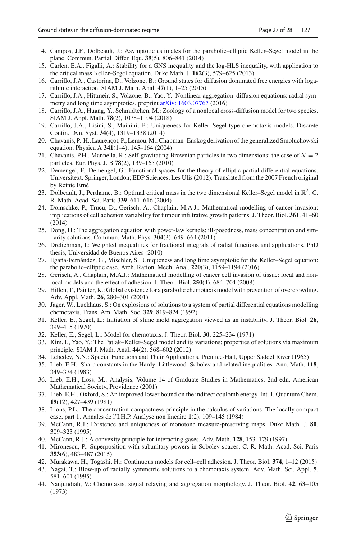- <span id="page-26-12"></span>14. Campos, J.F., Dolbeault, J.: Asymptotic estimates for the parabolic–elliptic Keller–Segel model in the plane. Commun. Partial Differ. Equ. **39**(5), 806–841 (2014)
- <span id="page-26-5"></span>15. Carlen, E.A., Figalli, A.: Stability for a GNS inequality and the log-HLS inequality, with application to the critical mass Keller–Segel equation. Duke Math. J. **162**(3), 579–625 (2013)
- <span id="page-26-16"></span>16. Carrillo, J.A., Castorina, D., Volzone, B.: Ground states for diffusion dominated free energies with logarithmic interaction. SIAM J. Math. Anal. **47**(1), 1–25 (2015)
- <span id="page-26-17"></span>17. Carrillo, J.A., Hittmeir, S., Volzone, B., Yao, Y.: Nonlinear aggregation–diffusion equations: radial symmetry and long time asymptotics. preprint [arXiv: 1603.07767](http://arxiv.org/abs/1603.07767) (2016)
- <span id="page-26-1"></span>18. Carrillo, J.A., Huang, Y., Schmidtchen, M.: Zoology of a nonlocal cross-diffusion model for two species. SIAM J. Appl. Math. **78**(2), 1078–1104 (2018)
- <span id="page-26-6"></span>19. Carrillo, J.A., Lisini, S., Mainini, E.: Uniqueness for Keller–Segel-type chemotaxis models. Discrete Contin. Dyn. Syst. **34**(4), 1319–1338 (2014)
- <span id="page-26-14"></span>20. Chavanis, P.-H., Laurençot, P., Lemou, M.: Chapman–Enskog derivation of the generalized Smoluchowski equation. Physica A **341**(1–4), 145–164 (2004)
- <span id="page-26-15"></span>21. Chavanis, P.H., Mannella, R.: Self-gravitating Brownian particles in two dimensions: the case of  $N = 2$ particles. Eur. Phys. J. B **78**(2), 139–165 (2010)
- <span id="page-26-23"></span>22. Demengel, F., Demengel, G.: Functional spaces for the theory of elliptic partial differential equations. Universitext. Springer, London; EDP Sciences, Les Ulis (2012). Translated from the 2007 French original by Reinie Erné
- <span id="page-26-7"></span>23. Dolbeault, J., Perthame, B.: Optimal critical mass in the two dimensional Keller–Segel model in  $\mathbb{R}^2$ . C. R. Math. Acad. Sci. Paris **339**, 611–616 (2004)
- <span id="page-26-2"></span>24. Domschke, P., Trucu, D., Gerisch, A., Chaplain, M.A.J.: Mathematical modelling of cancer invasion: implications of cell adhesion variability for tumour infiltrative growth patterns. J. Theor. Biol. **361**, 41–60 (2014)
- <span id="page-26-28"></span>25. Dong, H.: The aggregation equation with power-law kernels: ill-posedness, mass concentration and similarity solutions. Commun. Math. Phys. **304**(3), 649–664 (2011)
- <span id="page-26-29"></span>26. Drelichman, I.: Weighted inequalities for fractional integrals of radial functions and applications. PhD thesis, Universidad de Buenos Aires (2010)
- <span id="page-26-13"></span>27. Egaña-Fernández, G., Mischler, S.: Uniqueness and long time asymptotic for the Keller–Segel equation: the parabolic–elliptic case. Arch. Ration. Mech. Anal. **220**(3), 1159–1194 (2016)
- <span id="page-26-3"></span>28. Gerisch, A., Chaplain, M.A.J.: Mathematical modelling of cancer cell invasion of tissue: local and nonlocal models and the effect of adhesion. J. Theor. Biol. **250**(4), 684–704 (2008)
- <span id="page-26-0"></span>29. Hillen, T., Painter, K.: Global existence for a parabolic chemotaxis model with prevention of overcrowding. Adv. Appl. Math. **26**, 280–301 (2001)
- <span id="page-26-8"></span>30. Jäger, W., Luckhaus, S.: On explosions of solutions to a system of partial differential equations modelling chemotaxis. Trans. Am. Math. Soc. **329**, 819–824 (1992)
- 31. Keller, E., Segel, L.: Initiation of slime mold aggregation viewed as an instability. J. Theor. Biol. **26**, 399–415 (1970)
- <span id="page-26-9"></span>32. Keller, E., Segel, L.: Model for chemotaxis. J. Theor. Biol. **30**, 225–234 (1971)
- <span id="page-26-18"></span>33. Kim, I., Yao, Y.: The Patlak–Keller–Segel model and its variations: properties of solutions via maximum principle. SIAM J. Math. Anal. **44**(2), 568–602 (2012)
- <span id="page-26-27"></span>34. Lebedev, N.N.: Special Functions and Their Applications. Prentice-Hall, Upper Saddel River (1965)
- <span id="page-26-20"></span>35. Lieb, E.H.: Sharp constants in the Hardy–Littlewood–Sobolev and related inequalities. Ann. Math. **118**, 349–374 (1983)
- <span id="page-26-19"></span>36. Lieb, E.H., Loss, M.: Analysis, Volume 14 of Graduate Studies in Mathematics, 2nd edn. American Mathematical Society, Providence (2001)
- <span id="page-26-22"></span>37. Lieb, E.H., Oxford, S.: An improved lower bound on the indirect coulomb energy. Int. J. Quantum Chem. **19**(12), 427–439 (1981)
- <span id="page-26-21"></span>38. Lions, P.L.: The concentration-compactness principle in the calculus of variations. The locally compact case, part 1. Annales de l'I.H.P. Analyse non lineaire **1**(2), 109–145 (1984)
- <span id="page-26-25"></span>39. McCann, R.J.: Existence and uniqueness of monotone measure-preserving maps. Duke Math. J. **80**, 309–323 (1995)
- <span id="page-26-26"></span>40. McCann, R.J.: A convexity principle for interacting gases. Adv. Math. **128**, 153–179 (1997)
- <span id="page-26-24"></span>41. Mironescu, P.: Superposition with subunitary powers in Sobolev spaces. C. R. Math. Acad. Sci. Paris **353**(6), 483–487 (2015)
- <span id="page-26-4"></span>42. Murakawa, H., Togashi, H.: Continuous models for cell–cell adhesion. J. Theor. Biol. **374**, 1–12 (2015)
- <span id="page-26-10"></span>43. Nagai, T.: Blow-up of radially symmetric solutions to a chemotaxis system. Adv. Math. Sci. Appl. **5**, 581–601 (1995)
- <span id="page-26-11"></span>44. Nanjundiah, V.: Chemotaxis, signal relaying and aggregation morphology. J. Theor. Biol. **42**, 63–105 (1973)